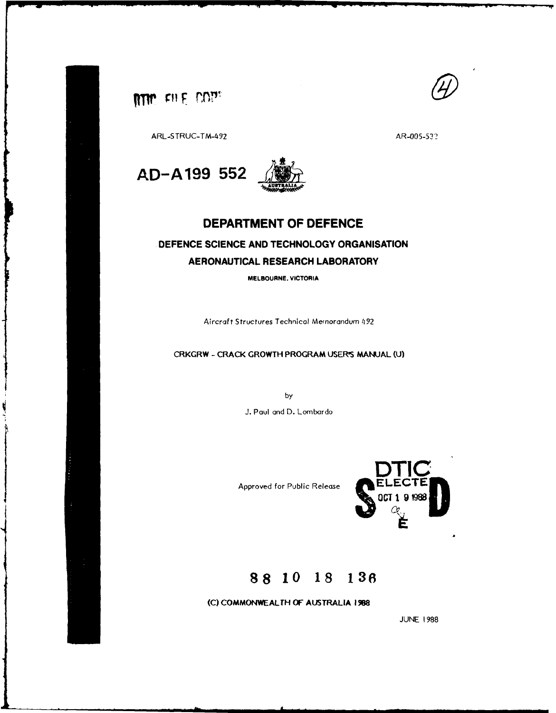



ARL-STRUC-TM-492 AR-005-532



## DEPARTMENT OF **DEFENCE**

# **DEFENCE SCIENCE AND TECHNOLOGY ORGANISATION AERONAUTICAL** RESEARCH LABORATORY

**MELBOURNE, VICTORIA**

Aircraft Structures Technical Memorandum 492

## CRKGRW **-** CRACK GROWTH PROGRAM **USER'S MANUAL (U)**

by **J.** Paul and D. Lombardo

**Approved for Public Release** 



# **88 10 18 136**

**(C)** COMMONWEALTH OF AUSTRALIA **198**

**JUNE 1988**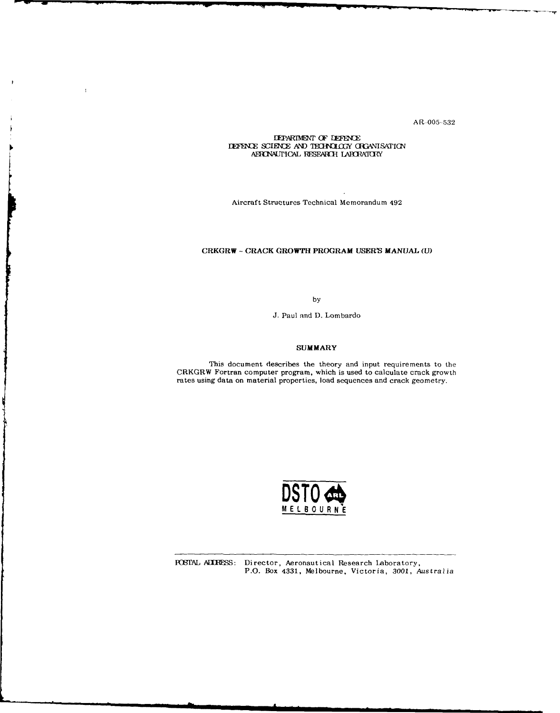AR-005-532

#### **IEPARIMENT OF DEFENCE LEFENCE SCIENCE AND TECHNOLOGY ORGANISATION** AERONAUTICAL RESEARCH LABORATORY

 $\mathbf{I}$ 

Aircraft Structures Technical Memorandum 492

## CRKGRW **- CRACK** GROWTH PROGRAM **USER'S MANUAL** (U)

by

J. Paul and D. Lombardo

#### **SUMMARY**

This document describes the theory and input requirements to the CRKGRW Fortran computer program, which is used to calculate crack growth rates using data on material properties, load sequences and crack geometry.



POSTAL ALIRESS: Director, Aeronautical Research Laboratory, P.O. Box 4331, Melbourne, Victoria, 3001, Australia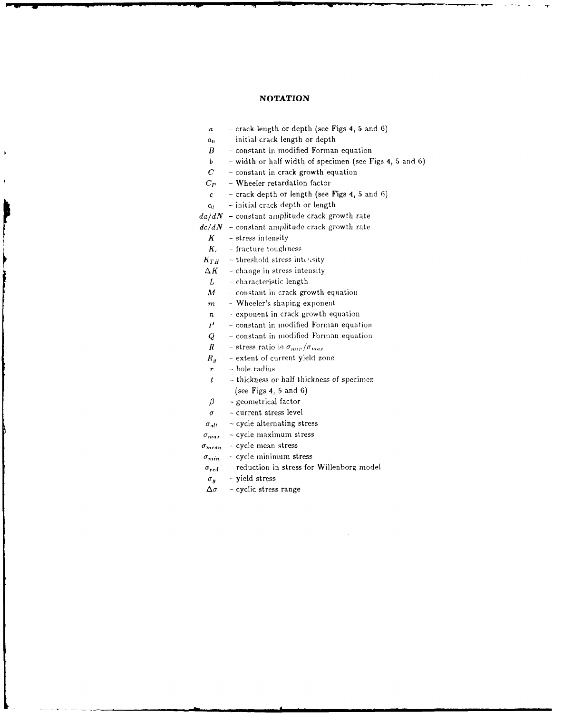## **NOTATION**

- a **-** crack length or depth (see Figs 4, **5** and **6)**
- *a(* **-** initial crack length or depth
- *B* **-** constant in modified Forman equation
- *b* **-** width or half width of specimen (see Figs 4, **5** and **6)**
- *C*  constant in crack growth equation
- *Cp*  Wheeler retardation factor
- $c -$  crack depth or length (see Figs 4, 5 and 6)
- $c_0$  **-** initial crack depth or length
- $da/dN$  constant amplitude crack growth rate
- $dc/dN$  constant amplitude crack growth rate
	- *K* **-** stress intensity
	- *K<sub>c</sub>* fracture toughness
- $K_{TH}$  threshold stress intensity
- $\Delta K$  change in stress intensity
- *L*  characteristic length
- $M$  constant in crack growth equation
- *m*  Wheeler's shaping exponent
- $n$  exponent in crack growth equation
- constant in modified Forman equation  $\boldsymbol{r}$
- *Q* **-** constant in modified Forman equation
- *R* **-** stress ratio ie  $\sigma_{\text{mir}}/\sigma_{\text{max}}$
- *R<sub>u</sub>* extent of current yield zone
- *r*  hole radius
- *t*  thickness or half thickness of specimen (see Figs 4, 5 and 6)
- *f8*  geometrical factor
- *a* **-** current stress level
- $\sigma_{alt}$  cycle alternating stress
- $\sigma_{max}$  cycle maximum stress
- $\sigma_{mean}$  cycle mean stress
- $\sigma_{min}$  cycle minimum stress
- $\sigma_{red}$  reduction in stress for Willenborg model
- $\sigma_y$  yield stress
- $\Delta \sigma$  cyclic stress range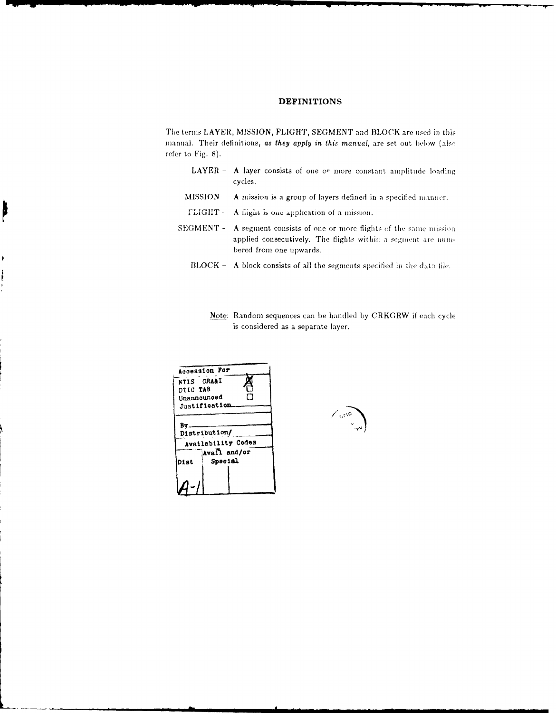## **DEFINITIONS**

The terms LAYER, MISSION, FLIGHT, SEGMENT and BLOCK are used in this manual. Their definitions, as they apply in this manual, are set out below (also refer to Fig. 8).

- LAYER A layer consists of one or more constant amplitude loading cycles.
- MISSION A mission is a group of layers defined in a specified manner.
- **TLIGHT-**A flight is one application of a mission.
- SEGMENT A segment consists of one or more flights of the same mission applied consecutively. The flights within a segment are numbered from one upwards.
	- BLOCK A block consists of all the segments specified in the data file.
		- Note: Random sequences can be handled by CRKGRW if each cycle is considered as a separate layer.



ļ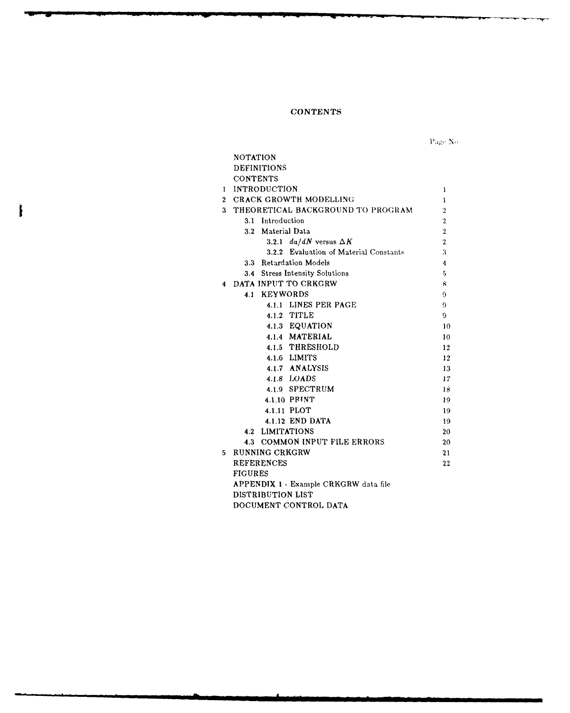## **CONTENTS**

ţ

Page  $\mathrm{No}$ 

|                | <b>NOTATION</b>                        |                |  |
|----------------|----------------------------------------|----------------|--|
|                | <b>DEFINITIONS</b>                     |                |  |
|                | <b>CONTENTS</b>                        |                |  |
|                | 1 INTRODUCTION                         | 1              |  |
| $\mathbf{2}^-$ | <b>CRACK GROWTH MODELLING</b>          | 1              |  |
|                | 3 THEORETICAL BACKGROUND TO PROGRAM    | $\overline{2}$ |  |
|                | 3.1 Introduction                       | $\overline{2}$ |  |
|                | 3.2 Material Data                      | $\overline{2}$ |  |
|                | 3.2.1 $da/dN$ versus $\Delta K$        | $\overline{2}$ |  |
|                | 3.2.2 Evaluation of Material Constants | 3              |  |
|                | 3.3 Retardation Models                 | 4              |  |
|                | 3.4 Stress Intensity Solutions         | 5              |  |
| 4              | DATA INPUT TO CRKGRW                   | 8              |  |
|                | 4.1 KEYWORDS                           | 9              |  |
|                | 4.1.1 LINES PER PAGE                   | 9              |  |
|                | 4.1.2 TITLE                            | 9              |  |
|                | 4.1.3 EQUATION                         | 10             |  |
|                | 4.1.4 MATERIAL                         | 10             |  |
|                | 4.1.5 THRESHOLD                        | 12             |  |
|                | 4.1.6 LIMITS                           | 12             |  |
|                | 4.1.7 ANALYSIS                         | 13             |  |
|                | 4.1.8 LOADS                            | 17             |  |
|                | 4.1.9 SPECTRUM                         | 18             |  |
|                | 4.1.10 PRINT                           | 19             |  |
|                | 4.1.11 PLOT                            | 19             |  |
|                | 4.1.12 END DATA                        | 19             |  |
|                | <b>4.2 LIMITATIONS</b>                 | 20             |  |
|                | 4.3 COMMON INPUT FILE ERRORS           | 20             |  |
| 5.             | RUNNING CRKGRW                         | 21             |  |
|                | <b>REFERENCES</b>                      | $22\,$         |  |
|                | <b>FIGURES</b>                         |                |  |
|                | APPENDIX 1 - Example CRKGRW data file  |                |  |
|                | DISTRIBUTION LIST                      |                |  |
|                | DOCUMENT CONTROL DATA                  |                |  |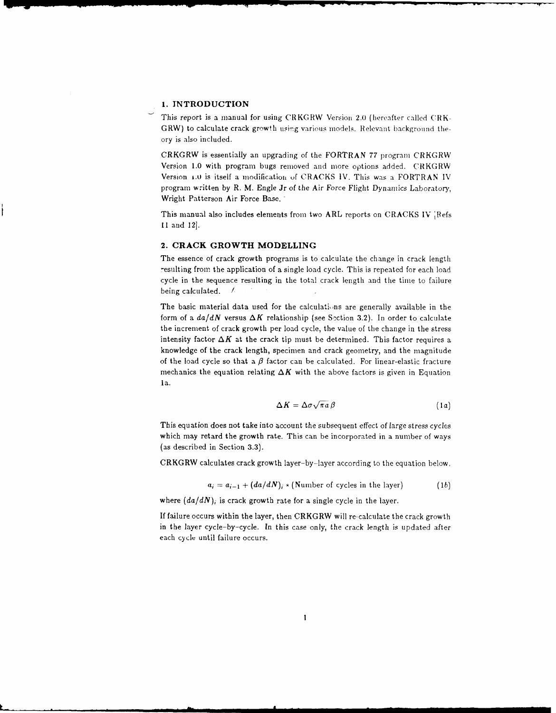## **1. INTRODUCTION**

This report is a manual for using CRKGRW Version **2.0** (hereafter called CRK-GRW) to calculate crack growth using various models. Relevant background theory is also included.

CRKGRW is essentially an upgrading of the FORTRAN 77 program CRKGRW Version 1.0 with program bugs removed and more options added. CRKGRW Version **i.o** is itself a modificatioh of CRACKS IV. This was a FORTRAN IV program written **by** R. M. Engle Jr of the Air Force Flight Dynamics Laboratory, Wright Patterson Air Force Base.

This manual also includes elements from two ARL reports on CRACKS IV [Refs 11 and 12.

#### 2. **CRACK GROWTH MODELLING**

The essence of crack growth programs is to calculate the change in crack length resulting from the application of a single load cycle. This is repeated for each load cycle in the sequence resulting in the total crack length and the time to failure being calculated. /

The basic material data used for the calculations are generally available in the form of a  $da/dN$  versus  $\Delta K$  relationship (see Section 3.2). In order to calculate the increment of crack growth per load cycle, the value of the change in the stress intensity factor  $\Delta K$  at the crack tip must be determined. This factor requires a knowledge of the crack length, specimen and crack geometry, and the magnitude of the load cycle so that a  $\beta$  factor can be calculated. For linear-elastic fracture mechanics the equation relating  $\Delta K$  with the above factors is given in Equation 1a.

$$
\Delta K = \Delta \sigma \sqrt{\pi a} \beta \tag{1a}
$$

This equation does not take into account the subsequent effect of large stress cycles which may retard the growth rate. This can be incorporated in a number of ways (as described in Section 3.3).

CRKGRW calculates crack growth layer-by-layer according to the equation below.

 $a_i = a_{i-1} + (da/dN)_i * (Number of cycles in the layer)$  (1b)

where  $(da/dN)$ , is crack growth rate for a single cycle in the layer.

If failure occurs within the layer, then CRKGRW will re-calculate the crack growth in the layer cycle-by-cycle. In this case only, the crack length is updated after each cycle until failure occurs.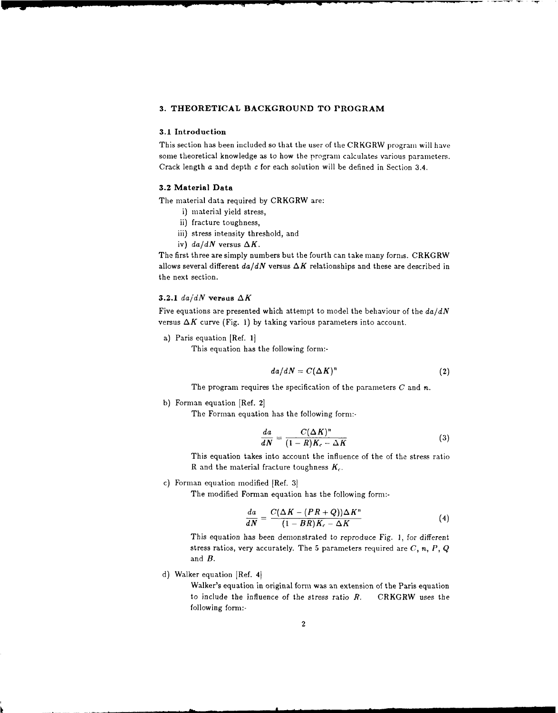## **3. THEORETICAL BACKGROUND TO PROGRAM**

## **3.1 Introduction**

This section has been included so that the user of the CRKGRW program will have some theoretical knowledge as to how the program calculates various parameters. Crack length a and depth c for each solution will be defined in Section 3.4.

## **3.2 Material Data**

The material data required by CRKGRW are:

- i) material yield stress,
- ii) fracture toughness,
- iii) stress intensity threshold, and
- iv)  $da/dN$  versus  $\Delta K$ .

The first three are simply numbers but the fourth can take many forms. CRKGRW allows several different  $da/dN$  versus  $\Delta K$  relationships and these are described in the next section.

## **3.2.1**  $da/dN$  versus  $\Delta K$

Five equations are presented which attempt to model the behaviour of the *da/dN* versus  $\Delta K$  curve (Fig. 1) by taking various parameters into account.

a) Paris equation [Ref. 1]

This equation has the following form:-

$$
da/dN = C(\Delta K)^n \tag{2}
$$

The program requires the specification of the parameters *C* and n.

**b)** Forman equation [Ref. 2[

The Forman equation has the following form:-

$$
\frac{da}{dN} = \frac{C(\Delta K)^n}{(1 - R)K_c - \Delta K} \tag{3}
$$

This equation takes into account the influence of the of the stress ratio R and the material fracture toughness *K,.*

c) Forman equation modified [Ref. 3

The modified Forman equation has the following form:-

$$
\frac{da}{dN} = \frac{C(\Delta K - (PR + Q))\Delta K^n}{(1 - BR)K_c - \Delta K}
$$
\n(4)

This equation has been demonstrated to reproduce Fig. 1, for different stress ratios, very accurately. The **5** parameters required are *C, n, P,* Q and *B.*

d) Walker equation [Ref. 4]

Walker's equation in original form was an extension of the Paris equation to include the influence of the stress ratio *R.* CRKGRW uses the following form:-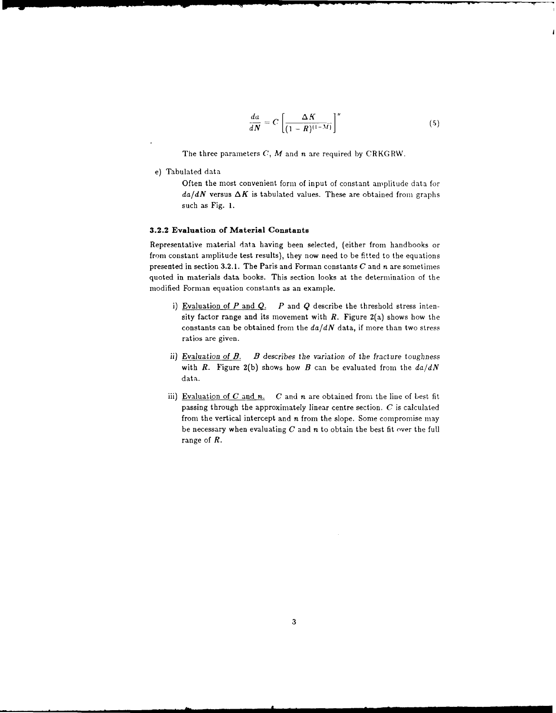$$
\frac{da}{dN} = C \left[ \frac{\Delta K}{(1 - R)^{(1 - M)}} \right]^n \tag{5}
$$

The three parameters *C, M* and *n* are required by CRKGRW.

e) Tabulated data

Often the most convenient form of input of constant amplitude data for  $da/dN$  versus  $\Delta K$  is tabulated values. These are obtained from graphs such as Fig. **1.**

## **3.2.2 Evaluation of Material Constants**

Representative material data having been selected, (either from handbooks or from constant amplitude test results), they now need to be fitted to the equations presented in section 3.2.1. The Paris and Forman constants *C* and n are sometimes quoted in materials data books. This section looks at the determination of the modified Forman equation constants as an example.

- **i)** Evaluation of *P* and *Q. P* and Q describe the threshold stress intensity factor range and its movement with *R.* Figure 2(a) shows how the constants can be obtained from the *da/dN* data, if more than two stress ratios are given.
- **ii)** Evaluation *of B. B describes* the variation *of* the fracture toughness with *R*. Figure 2(b) shows how *B* can be evaluated from the  $da/dN$ data.
- iii) Evaluation of  $C$  and  $n$ .  $C$  and  $n$  are obtained from the line of best fit passing through the approximately linear centre section. *C* is calculated from the vertical intercept and *n* from the slope. Some compromise may be necessary when evaluating *C* and n to obtain the best fit over the full range of *R.*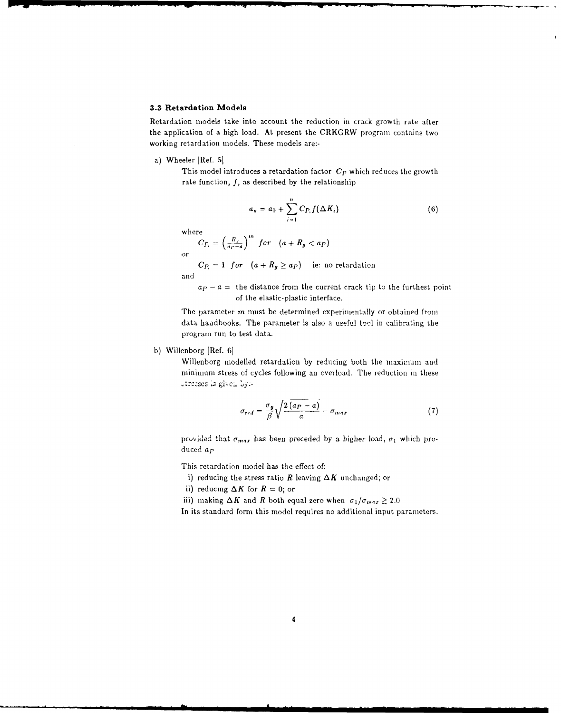## **3.3 Retardation Models**

Retardation models take into account the reduction in crack growth rate after the application of a high load. At present the CRKGRW program contains two working retardation models. These models are:-

a) Wheeler [Ref. **5]**

This model introduces a retardation factor *Cp* which reduces the growth rate function, *f,* as described by the relationship

$$
a_n = a_0 + \sum_{i=1}^n C_{P_i} f(\Delta K_i)
$$
 (6)

where

$$
C_{P_i} = \left(\frac{R_y}{a_P - a}\right)^m \text{ for } (a + R_y < a_P)
$$

 $C_{P_1} = 1$  for  $(a + R_y \ge a_P)$  ie: no retardation

and

 $a_p - a =$  the distance from the current crack tip to the furthest point of the elastic-plastic interface.

The parameter *m* must be determined experimentally or obtained from data handbooks. The parameter is also a useful tool in calibrating the program run to test data.

b) Willenborg [Ref. 6]

Willenborg modelled retardation by reducing both the maximum and minimum stress of cycles following an overload. The reduction in these 2'rCzscs *:s* gi;cC **by:-**

$$
\sigma_{red} = \frac{\sigma_y}{\beta} \sqrt{\frac{2(a_P - a)}{a}} - \sigma_{max}
$$
\n(7)

provided that  $\sigma_{max}$  has been preceded by a higher load,  $\sigma_1$  which produced *ap*

This retardation model has the effect of:

i) reducing the stress ratio *R* leaving  $\Delta K$  unchanged; or

ii) reducing  $\Delta K$  for  $R = 0$ ; or

iii) making  $\Delta K$  and *R* both equal zero when  $\sigma_1/\sigma_{max} \geq 2.0$ 

In its standard form this model requires no additional input parameters.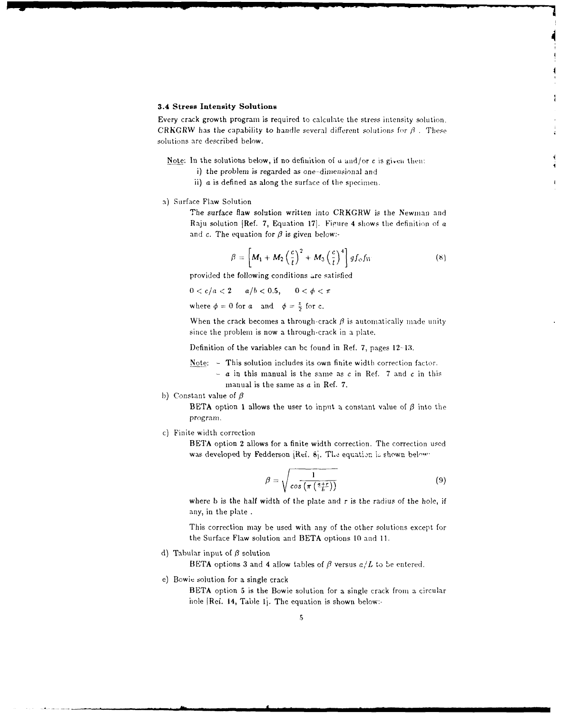#### **3.4 Stress Intensity Solutions**

**4W4**

Every crack growth program is required to calculate the stress intensity solution. CRKGRW has the capability to handle several different solutions for  $\beta$ . These solutions are described below.

Note: In the solutions below, if no definition of  $a$  and/or c is given then:

- i) the problem is regarded as one-dimensional and
- ii) a is defined as along the surface of the specimen.
- a) Surface Flaw Solution

The surface flaw solution written into CRKGRW is the Newman and Raju solution [Ref. 7, Equation 17]. Figure 4 shows the definition of a and c. The equation for  $\beta$  is given below:-

$$
\beta = \left[ M_1 + M_2 \left( \frac{c}{t} \right)^2 + M_3 \left( \frac{c}{t} \right)^4 \right] gf_o f_W \tag{8}
$$

 $\overline{\mathbf{A}}$ 

provided the following conditions are satisfied

 $0 < c/a < 2$  *a/b < 0.5,*  $0 < \phi < \pi$ 

where  $\phi = 0$  for a and  $\phi = \frac{\pi}{2}$  for c.

When the crack becomes a through-crack  $\beta$  is automatically made unity since the problem is now a through-crack in a plate.

Definition of the variables can be found in Ref. 7, pages 12-13.

Note: **-** This solution includes its own finite width correction factor.

- $-$  a in this manual is the same as c in Ref. 7 and c in this manual is the same as a in Ref. 7.
- b) Constant value of  $\beta$

**BETA** option 1 allows the user to input a constant value of  $\beta$  into the program.

c) Finite width correction

BETA option 2 allows for a finite width correction. The correction used was developed by Fedderson [Ref.  $\delta_1$ . The equation is shown below.

$$
\beta = \sqrt{\frac{1}{\cos\left(\pi\left(\frac{a+r}{b}\right)\right)}}\tag{9}
$$

where **b** is the half width of the plate and r is the radius of the hole, if any, in the plate.

This correction may be used with any of the other solutions except for the Surface Flaw solution and BETA options 10 and 11.

d) Tabular input of *3* solution

BETA options 3 and 4 allow tables of  $\beta$  versus  $a/L$  to be entered.

e) Bowie solution for a single crack

BETA option 5 is the Bowie solution for a single crack from a circular hole [Ref. 14, Table 1]. The equation is shown below:-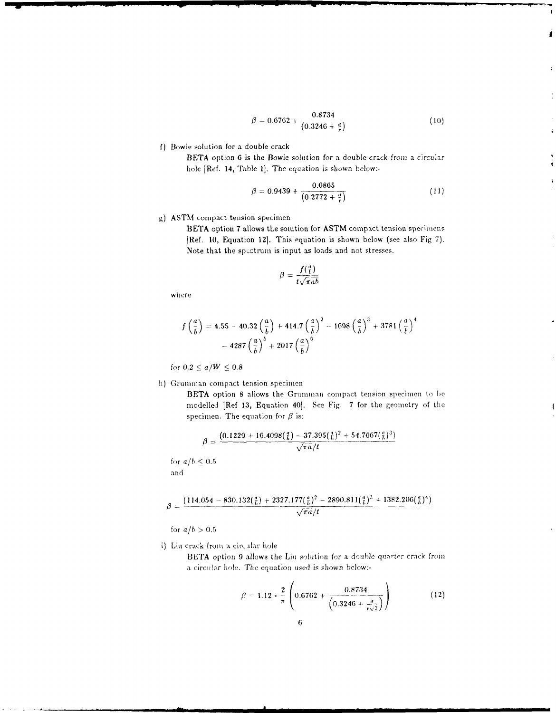$$
\beta = 0.6762 + \frac{0.8734}{(0.3246 + \frac{a}{r})}
$$
\n(10)

1

f) Bowie solution for a double crack

BETA option *6* is the *Bowie* solution for a double crack from a circular bole [Ref. 14, Table **I].** The equation is shown below:-

$$
\beta = 0.9439 + \frac{0.6865}{(0.2772 + \frac{a}{r})}
$$
\n(11)

## **g) ASTM** compact tension specimen

BETA option **7** allows the solution for **ASTM** compact tension specimcns, [Ref. **10,** Equation 121. This equation is shown below (see also Fig **7).** Note that the spectrum is input as loads and not stresses.

$$
\beta = \frac{f(\frac{a}{b})}{t\sqrt{\pi a b}}
$$

where

$$
f\left(\frac{a}{b}\right) = 4.55 - 40.32\left(\frac{a}{b}\right) + 414.7\left(\frac{a}{b}\right)^2 - 1698\left(\frac{a}{b}\right)^3 + 3781\left(\frac{a}{b}\right)^4 - 4287\left(\frac{a}{b}\right)^5 + 2017\left(\frac{a}{b}\right)^6
$$

for  $0.2 \le a/W \le 0.8$ 

h) Grumman compact tension specimen

**BETA** option **8** allows the Grumman compact tension specimen to **be** modelled [Ref 13, Equation 40]. See Fig. 7 for the geometry of the specimen. The equation for  $\beta$  is:

$$
\beta = \frac{(0.1229 + 16.4098(\frac{a}{b}) - 37.395(\frac{a}{b})^2 + 54.7667(\frac{a}{b})^3)}{\sqrt{\pi a}/t}
$$

for  $a/b \leq 0.5$ and

$$
\beta = \frac{(114.054 - 830.132(\frac{a}{b}) + 2327.177(\frac{a}{b})^2 - 2890.811(\frac{a}{b})^3 + 1382.206(\frac{a}{b})^4)}{\sqrt{\pi a}/t}
$$

for  $a/b > 0.5$ 

i) Liu crack from a circular hole

BETA option 9 allows the Liu solution for a double quarter crack from a circular hole. The equation used is shown below:-

$$
\beta = 1.12 \times \frac{2}{\pi} \left( 0.6762 + \frac{0.8734}{\left( 0.3246 + \frac{\sigma}{r\sqrt{2}} \right)} \right)
$$
 (12)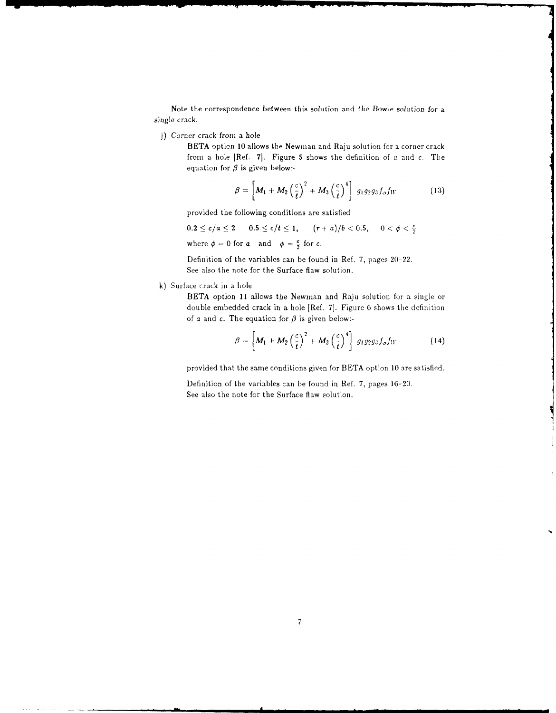Note the correspondence between this solution and the Bowie solution for a single crack.

j) Corner crack from a hole

BETA option 10 allows the Newman and Raju solution for a corner crack from a hole [Ref. **71.** Figure **5** shows the definition of a and c. The equation for  $\beta$  is given below:-

$$
\beta = \left[ M_1 + M_2 \left( \frac{c}{t} \right)^2 + M_3 \left( \frac{c}{t} \right)^4 \right] g_1 g_2 g_3 f_o f_W \tag{13}
$$

provided the following conditions are satisfied

 $0.2 \le c/a \le 2$   $0.5 \le c/t \le 1$ ,  $(r+a)/b < 0.5$ ,  $0 < \phi < \frac{\pi}{2}$ where  $\phi=0$  for a and  $\phi=\frac{\pi}{2}$  for c.

Definition of the variables can be found in Ref. 7, pages 20-22. See also the note for the Surface flaw solution.

k) Surface crack in a hole

BETA option 11 allows the Newman and Raju solution for a single or double embedded crack in a hole [Ref. **71.** Figure 6 shows the definition of a and c. The equation for  $\beta$  is given below:-

$$
\beta = \left[ M_1 + M_2 \left( \frac{c}{t} \right)^2 + M_3 \left( \frac{c}{t} \right)^4 \right] g_1 g_2 g_3 f_o f_W \qquad (14)
$$

provided that the same conditions given for BETA option 10 are satisfied.

Definition of the variables can be found in Ref. 7, pages 16-20. See also the note for the Surface flaw solution.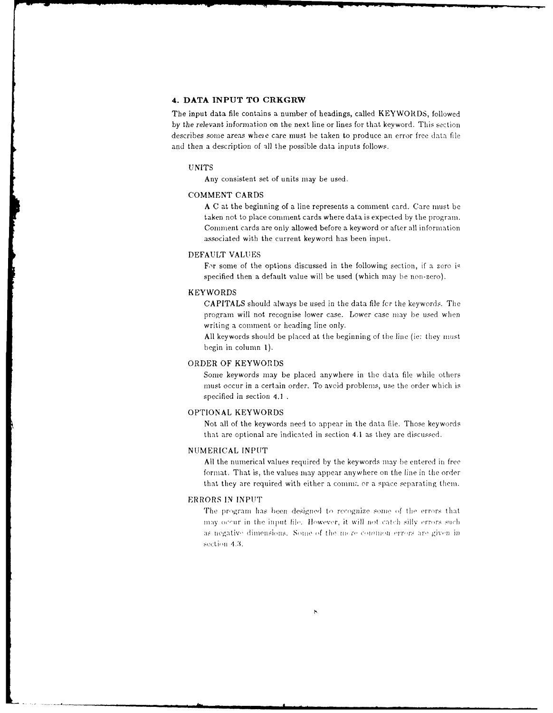## **4. DATA INPUT TO CRKGRW**

The input data file contains a number of headings, called KEYWORDS, followed by the relevant information on the next line or lines for that keyword. This section describes some areas where care must be taken to produce an error free data file and then a description of all the possible data inputs follows.

#### UNITS

Any consistent set of units may be used.

#### **COMMENT** CARDS

A C at the beginning of a line represents a comment card. Care must be taken not to place comment cards where data is expected by the program. Comment cards are only allowed before a keyword or after all information associated with the current keyword has been input.

## DEFAULT VALUES

For some of the options discussed in the following section, if a zero is specified then a default value will be used (which may be non-zero).

#### KEYWORDS

CAPITALS should always be used in the data file fcr the keywords. The program will not recognise lower case. Lower case may be used when writing a comment or heading line only.

All keywords should be placed at the beginning of the line (ie: they must begin in column 1).

## ORDER OF KEYWORIDS

Some keywords may be placed anywhere in the data file while others must occur in a certain order. To avoid problems, use the order which is specified in section 4.1

## **OPTIONAL** KEYWORDS

Not all of the keywords need to appear in the data file. Those keywords that are optional are indicated in section 4.1 as they are discussed.

#### NUMERICAL INPUT

All the numerical values required by the keywords may be entered in free format. That is, the values may appear anywhere on the line in the order that they are required with either a comma or a space separating them.

## ERRORS IN INPUT

The program has been designed to recognize some of the errors that may occur in the input file. However, it will not catch silly errors such as negative dimensions. Some of the more common errors are given in section 4.3.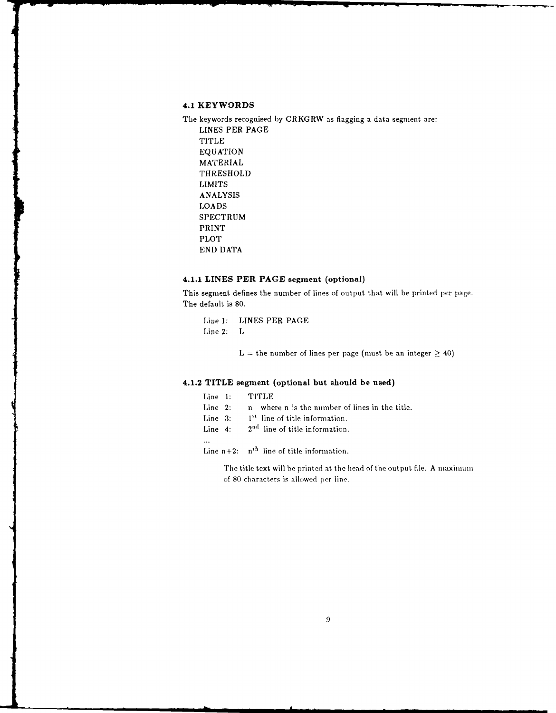## **4.1 KEYWORDS**

The keywords recognised **by** CRKGRW as flagging a data segment are: **LINES** PER **PAGE** TITLE **EQUATION** MATERIAL THRESHOLD LIMITS ANALYSIS LOADS SPECTRUM PRINT PLOT END DATA

## **4.1.1** LINES **PER PAGE** segment (optional)

This segment defines the number of lines of output that will be printed per page. The default is 80.

Line **1:** LINES PER PAGE Line 2: L

 $L =$  the number of lines per page (must be an integer  $\geq 40$ )

## 4.1.2 TITLE segment (optional but should be used)

|  | Line 1: |  | TITLE |
|--|---------|--|-------|
|--|---------|--|-------|

- Line 2: n where n is the number of lines in the title.
- Line 3: **1<sup>st</sup>** line of title information.
- Line  $4: 2<sup>nd</sup>$  line of title information.
- $\bar{\omega}$

Line  $n+2$ :  $n<sup>th</sup>$  line of title information.

The title text will be printed at the head of the output file. A maximum of 80 characters is allowed per line.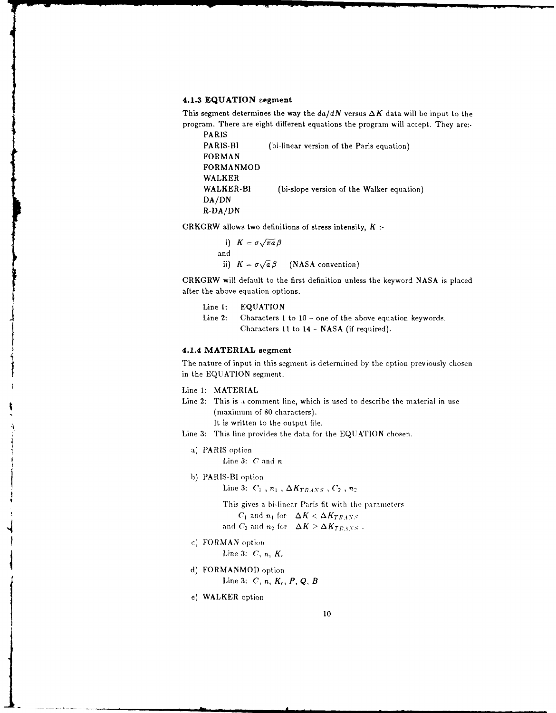#### **4.1.3 EQUATION segment**

This segment determines the way the  $da/dN$  versus  $\Delta K$  data will be input to the program. There are eight different equations the program will accept. They are:-

```
PARIS
PARIS-BI (bi-linear version of the Paris equation)
FORMAN
FORMANMOD
WALKER
WALKER-BI (bi-slope version of the Walker equation)
DA/DN
R-DA/DN
```
CRKGRW allows two definitions of stress intensity, *K*

i)  $K = \sigma \sqrt{\pi a} \beta$ and ii)  $K = \sigma \sqrt{a} \beta$  (NASA convention)

CRKGRW will default to the first definition unless the keyword NASA is placed after the above equation options.

- Line 1: EQUATION
- Line 2: Characters **I** to 10 one of the above equation keywords. Characters 11 to 14 - NASA (if required).

## **4.1.4 MATERIAL** segment

The nature of input in this segment is determined by the option previously chosen in the EQUATION segment.

Line 1: MATERIAL

- Line 2: This is **i** comment line, which is used to describe the material in use (maximum of **80** characters). It is written to the output file.
- Line 3: This line provides the data for the EQUATION chosen.
- a) PARIS option

Line 3: *C* and *n*

b) PARIS-BI option

Line 3:  $C_1$  ,  $n_1$  ,  $\Delta K_{TRANS}$  ,  $C_2$  ,  $n_2$ 

This gives a bi-linear Paris fit with the parameters  $C_1$  and  $n_1$  for  $\Delta K < \Delta K_{TRANS}$ and  $C_2$  and  $n_2$  for  $\Delta K > \Delta K_{TRANS}$ .

c) FORMAN option

Line 3: *C, n, K,.*

- d) FORMANMOD option Line 3: *C*, *n*, *K<sub>c</sub>*, *P*, *Q*, *B* d) FORMANMOD option<br>
Line 3:  $C$ ,  $n$ ,  $K_c$ ,  $P$ ,  $Q$ ,  $B$ <br>
e) WALKER option<br>
10
	-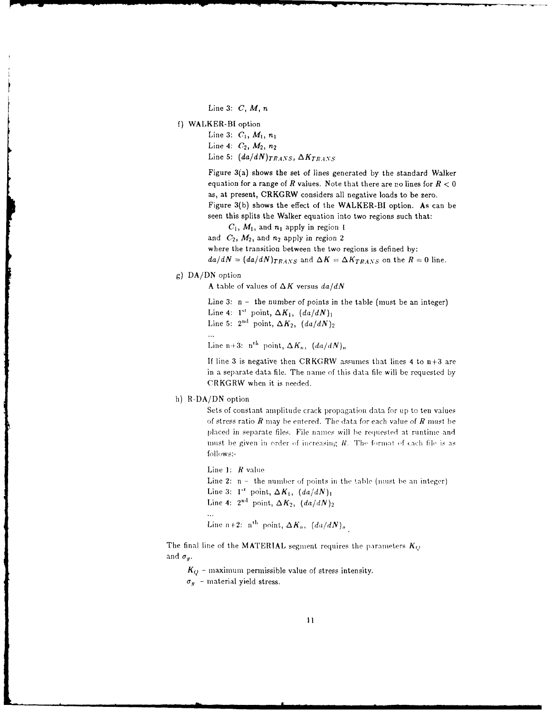Line 3: *C, M, n*

**f)** WALKER-BI option

Line 3: *C1, Mi,* ni Line 4:  $C_2$ ,  $M_2$ ,  $n_2$ Line 5:  $(da/dN)$ <sub>TRANS</sub>,  $\Delta K_{TRANS}$ 

Figure 3(a) shows the set of lines generated by the standard Walker equation for a range of  $R$  values. Note that there are no lines for  $R < 0$ as, at present, CRKGRW considers all negative loads to be zero. Figure 3(b) shows the effect of the WALKER-BI option. As can be seen this splits the Walker equation into two regions such that:

 $C_1$ ,  $M_1$ , and  $n_1$  apply in region **I** 

and  $C_2$ ,  $M_2$ , and  $n_2$  apply in region 2

where the transition between the two regions is defined by:

 $da/dN = (da/dN)_{TRANS}$  and  $\Delta K = \Delta K_{TRANS}$  on the  $R = 0$  line.

## g) DA/DN option

A table of values of  $\Delta K$  versus  $da/dN$ 

Line  $3: n -$  the number of points in the table (must be an integer) Line 4:  $1^{st}$  point,  $\Delta K_1$ ,  $(da/dN)_1$ Line 5:  $2<sup>nd</sup>$  point,  $\Delta K_2$ ,  $(da/dN)_2$  $\mathcal{L}_{\text{max}}$ Line n+3:  $n^{th}$  point,  $\Delta K_n$ ,  $(da/dN)$ ,

If line 3 is negative then CRKGRW assumes that lines 4 to  $n+3$  are in a separate data file. The name of this data file will be requested by CRKGRW when it is needed.

## h) R-DA/DN option

Sets of constant amplitude crack propagation data for up to ten values of stress ratio *R* may be entered. The data for each value *of R* must be placed in separate files. File names will **be** requested at runtime and must be given in order of increasing  $R$ . The format of each file is as follows:-

Line **1:** R value Line 2:  $n -$  the number of points in the table (must be an integer) Line 3:  $1^{st}$  point,  $\Delta K_1$ ,  $(da/dN)_1$ Line 4:  $2^{\text{nd}}$  point,  $\Delta K_2$ ,  $\frac{da}{dN}_2$  $\ddotsc$ Line n+2:  $n^{th}$  point,  $\Delta K_n$ ,  $\left(\frac{da}{dN}\right)_n$ 

The final line of the MATERIAL segment requires the parameters  $K_Q$ and  $\sigma_y$ .

 $K_Q$  – maximum permissible value of stress intensity.  $\sigma_y$  - material yield stress.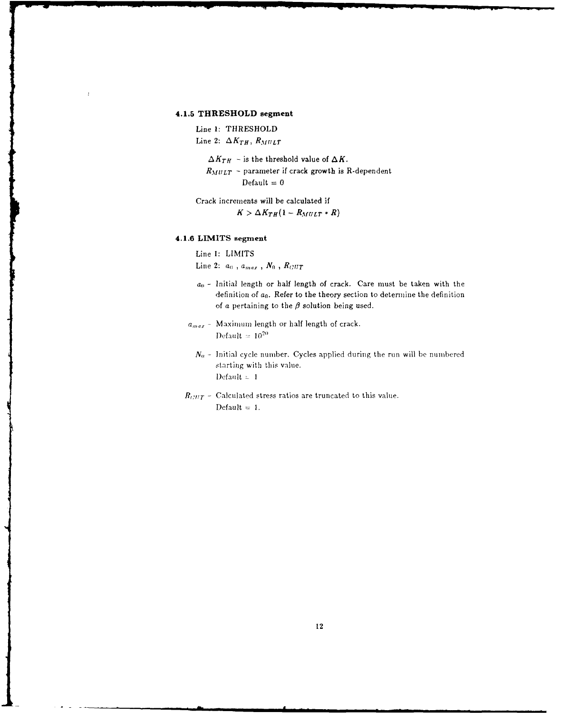## **4.1.5 THRESHOLD segment**

Line **1:** THRESHOLD Line 2:  $\Delta K_{TH}$ ,  $R_{MULT}$ 

> $\Delta K_{TH}$  – is the threshold value of  $\Delta K$ .  $R_{MULT}$  - parameter if crack growth is R-dependent  $Default = 0$

Crack increments will be calculated if  $K > \Delta K_{TH}(1 - R_{MULT} * R)$ 

## **4.1.6 LIMITS segment**

Line **1:** LIMITS

Line 2:  $a_0$ ,  $a_{max}$ ,  $N_0$ ,  $R_{CUT}$ 

- $a_0$  Initial length or half length of crack. Care must be taken with the definition of  $a_0$ . Refer to the theory section to determine the definition of a pertaining to the  $\beta$  solution being used.
- $a_{max}$  Maximum length or half length of crack. Default  $= 10^{20}$ 
	- $N_0$  Initial cycle number. Cycles applied during the run will be numbered starting with this value.  $\text{Default} = 1$
- $R_{CUT}$  Calculated stress ratios are truncated to this value.  $\text{Default} = 1.$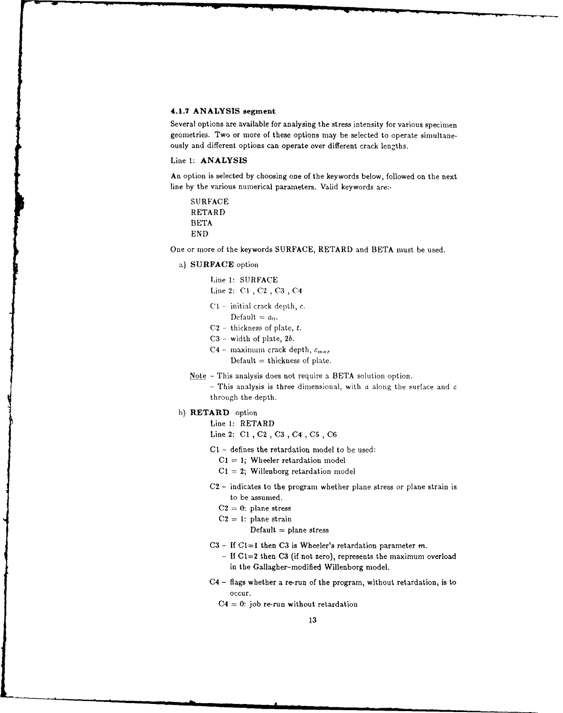#### **4.1.7 ANALYSIS segment**

Several options are available for analysing the stress intensity for various specimen geometries. Two or more of these options may be selected to operate simultaneously and different options can operate over different crack lengths.

## Line **1: ANALYSIS**

An option is selected by choosing one of the keywords below, followed on the next line **by** the various numerical parameters. Valid keywords are:-

SURFACE RETARD BETA END

One or more of the keywords SURFACE, RETARD and BETA must be used.

## a) **SURFACE** option

Tine **1:** SURFACE Line 2: C1, C2, C3, C4

- **C1 -** initial crack depth, *c.*
- Default  $= a_0$ .
- $C2$  thickness of plate, t.
- $C3$  width of plate,  $2b$ .
- C4 maximum crack depth,  $c_{max}$ 
	- $Default = thickness of plate.$
- Note **-** This analysis does not require a BETA solution option.

**-** This analysis is three dimensional, with a along the surface and c through the depth.

## **b) RETARD** option

- Line 1: RETARD
- Line 2: C1, C2, C3, C4, C5, C6
- **C1**  defines the retardation model to **be** used:
	- CI **=** 1; Wheeler retardation model
	- **Cl** = 2; Willenborg retardation model
- **C2 -** indicates to the program whether plane stress or plane strain is to be assumed.
	- $C2 = 0$ : plane stress
	- $C2 = 1$ : plane strain

 $Default = plane stress$ 

- **C3**  If CI=I then **C3** is Wheeler's retardation parameter *m.*
	- **- If C1=2** then **C3** (if not zero), represents the maximum overload in the Gallagher-modified Willenborg model.
- C4 flags whether a re-run of the program, without retardation, is to occur.
	- $C4 = 0$ : job re-run without retardation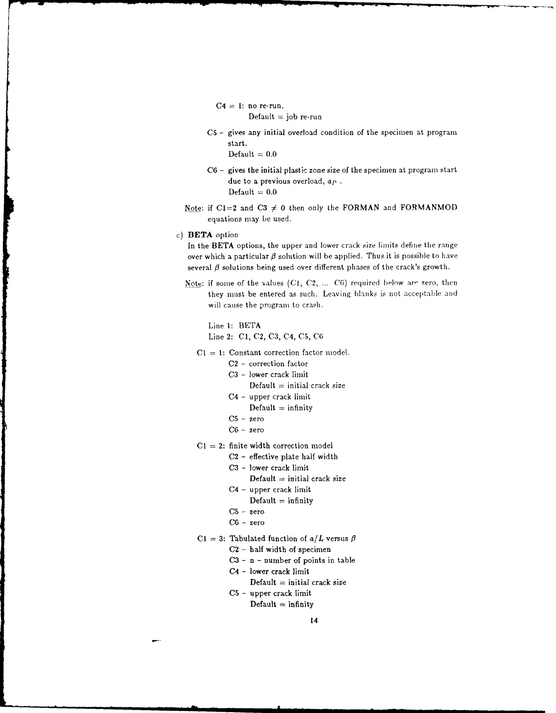$C4 = 1: no$  re-run. Default  $=$  job  $re$ -run

*CS* **-** gives any initial overload condition of the specimen at program start.

 $Default = 0.0$ 

- C6 **-** gives the initial plastic zone size of the specimen at program start due to a previous overload, *ap*  $Default = 0.0$
- Note: if  $CI=2$  and  $C3 \neq 0$  then only the FORMAN and FORMANMOD equations may be used.
- c) BETA option

In the BETA options, the upper and lower crack size limits define the range over which a particular  $\beta$  solution will be applied. Thus it is possible to have several  $\beta$  solutions being used over different phases of the crack's growth.

Note: if some of the values (C1, C2, ... C6) required below are zero, then they must be entered as such. Leaving blanks is not acceptable and will cause the program to crash.

Line **1:** BETA Line 2: **Cl,** C2, C3, C4, **C5, CG**

*C1 =* **1:** Constant correction factor model.

- C2 correction factor
- C3 lower crack limit
	- $Default = initial crack size$
- C4 upper crack limit
	- Default **=** infinity
- **C5**  zero
- C6 zero
- **CI** = 2: finite width correction model
	- **C2**  effective plate half width
	- **C3**  lower crack limit
		- $Default = initial crack size$
	- C4 upper crack limit
		- $Default = infinity$
	- **C5**  zero
	- **C6**  zero
- C1 = 3: Tabulated function of  $a/L$  versus  $\beta$ 
	- **C2**  half width of specimen
	- **C3**  n number of points in table
	- C4 lower crack limit

Default **=** initial crack size

**C5** - upper crack limit  $Default = infinity$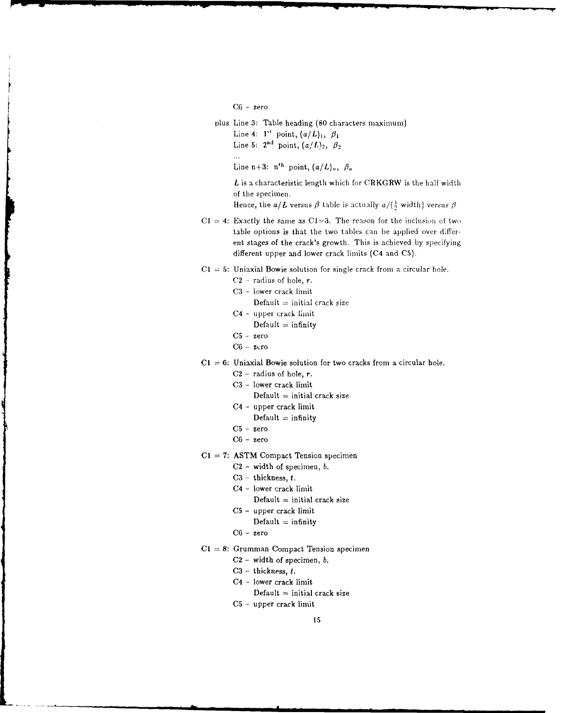**C6** - zero

- plus Line 3: Table heading **(80** characters naximuni)
	- Line 4:  $1^{st}$  point,  $\left(\frac{a}{L}\right)_1$ ,  $\beta_1$ Line 5:  $2^{nd}$  point,  $(a/L)_2$ ,  $\beta_2$
	- $\ddotsc$

Line  $n+3$ :  $n^{th}$  point,  $(a/L)_n$ ,  $\beta_n$ 

*L* is a characteristic length which for CRKGRW is the half width of the specimen.

Hence, the *a/L* versus  $\beta$  table is actually  $a/(\frac{1}{2}$  width) versus  $\beta$ 

- **Cl** = 4: Exactly the same as **Cl=3.** The reason for the inclusion of two table options is that the two tables can be applied over different stages of the crack's growth. This is achieved by specifying different upper and lower crack limits (C4 and **CS).**
- *Cl* = 5: Uniaxial Bowie solution for single crack from a circular hole.
	- C2 **-** radius of hole, r.
	- C3 lower crack limit
		- $Default = initial crack size$
	- C4 upper crack limit
		- $\text{Default} = \text{infinity}$
	- **C5**  zero
	- C6 zero
- $C1 = 6$ : Uniaxial Bowie solution for two cracks from a circular hole.
	- $C2$  radius of hole, r.
	- C3 lower crack limit
		- $Default = initial crack size$
	- C4 upper crack limit
		- Default **=** infinity
	- **C5**  zero
	- C6 zero
- $C1 = 7:$  ASTM Compact Tension specimen
	- C2 width of specimen, *b.*
	- C3 thickness, *t.*
	- C4 lower crack limit
		- Default *=* initial crack size
	- **C5**  upper crack limit
		- $Default = infinity$
	- C6 zero
- **CI** = 8: Grumman Compact Tension specimen
	- C2 width of specimen, *b.*
	- C3 thickness, *t.*
	- C4 lower crack limit
	- $Default = initial crack size$
	- **C5**  upper crack limit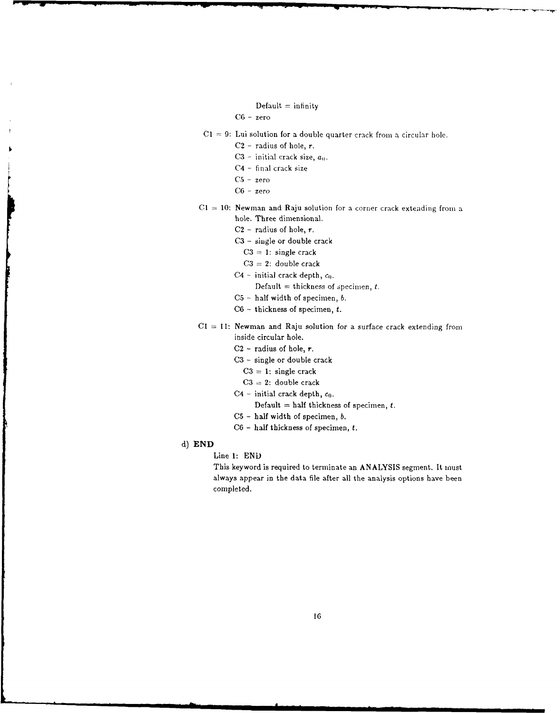- $Default = infinity$
- *CG*  zero
- Cl **=** 9: Lui solution for a double quarter crack from a circular hole.
	- $C2$  radius of hole,  $r$ .
	- $C3$  initial crack size,  $a_0$ .
	- C4 final crack size
	- **C5**  zero
	- **C6 -** zero
- *CI* = 10: Newman and Raju solution for a corner crack exteading from a hole. Three dimensional.
	- $C2$  radius of hole, r.
	- **C3**  single or double crack
		- **C3 = 1:** single crack
		- $C3 = 2$ : double crack
	- $C4$  initial crack depth,  $c_0$ .

Default = thickness of specimen,  $t$ .

- **C5**  half width of specimen, *b.*
- **CG**  thickness of specimen, t.
- **Cl** *=* **11:** Newman and Raju solution for a surface crack extending from inside circular hole.
	- $C2$  radius of hole,  $r$ .
	- **C3**  single or double crack
		- **C3 =** 1: single crack
		- **C3** = 2: double crack
	- C4 initial crack depth,  $c_0$ .
		- Default = half thickness of specimen,  $t$ .
	- C5 half width of specimen, *b.*
	- **C6**  half thickness of specimen, t.
- **d) END**
	- Line 1: END

This keyword is required to terminate an ANALYSIS segment. It must always appear in the data file after all the analysis options have been completed.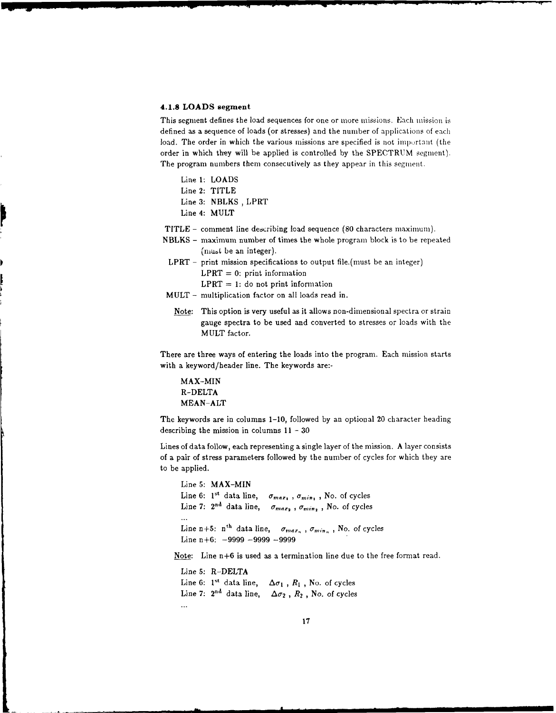#### **4.1.8 LOADS segment**

This segment defines the load sequences for one or more missions. Each mission is defined as a sequence of loads (or stresses) and the number of applications of each load. The order in which the various missions are specified is not important (the order in which they will be applied is controlled by the SPECTRUM segment). The program numbers them consecutively as they appear in this segment.

Line 1: LOADS Line 2: TITLE Line 3: NBLKS , LPRT Line 4: MULT

TITLE - comment line describing load sequence (80 characters maximum).

- NBLKS **-** maximum number of times the whole program block is to be repeated (must be an integer).
- LPRT print mission specifications to output file.(must be an integer)  $LPRT = 0$ : print information  $LPRT = 1$ : do not print information
- MULT multiplication factor on all loads read in.
	- Note: This option is very useful as it allows non-dimensional spectra or strain gauge spectra to be used and converted to stresses or loads with the MULT factor.

There are three ways of entering the loads into the program. Each mission starts with a keyword/header line. The keywords are:-

MAX-MIN R-DELTA MEAN-ALT

The keywords are in columns 1-10, followed by an optional 20 character heading describing the mission in columns  $11 - 30$ 

Lines of data follow, each representing a single layer of the mission. A layer consists of a pair of stress parameters followed by the number of cycles for which they are to be applied.

Line 5: MAX-MIN Line 6:  $1^{st}$  data line,  $\sigma_{max_1}$ ,  $\sigma_{min_1}$ , No. of cycles Line 7:  $2<sup>nd</sup>$  data line,  $\sigma_{max_2}$ ,  $\sigma_{min_2}$ , No. of cycles  $\dddotsc$ Line n+5:  $n^{\text{th}}$  data line,  $\sigma_{max_n}$ ,  $\sigma_{min_n}$ , No. of cycles Line  $n+6$ :  $-9999 - 9999 - 9999$ 

Note: Line n+6 is used as a termination line due to the free format read.

Line **5:** R-DELTA Line 6:  $1^{st}$  data line,  $\Delta \sigma_1$ ,  $R_1$ , No. of cycles Line 7:  $2^{nd}$  data line,  $\Delta \sigma_2$ ,  $R_2$ , No. of cycles  $\ddotsc$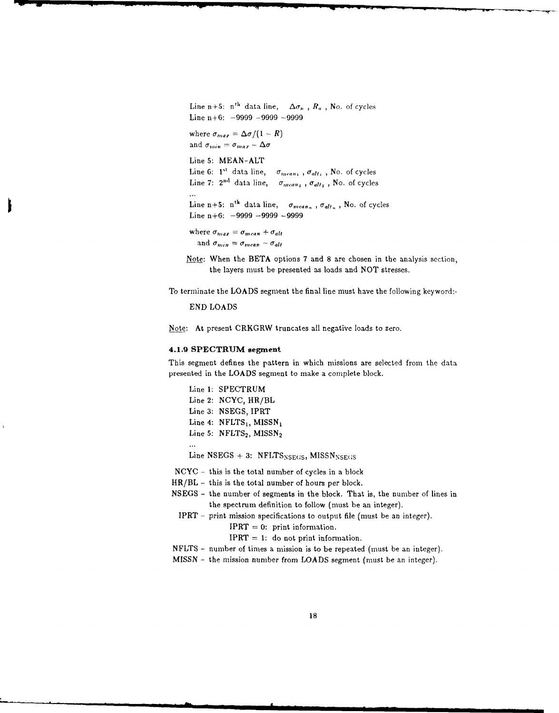Line n+5:  $n^{th}$  data line,  $\Delta \sigma_n$ ,  $R_n$ , No. of cycles Line n+6: -9999 -9999 -9999 where  $\sigma_{max} = \Delta \sigma / (1 - R)$ and  $\sigma_{min} = \sigma_{max} - \Delta \sigma$ Line 5: MEAN-ALT Line 6:  $1^{st}$  data line,  $\sigma_{mean}$ ,  $\sigma_{alt}$ , No. of cycles Line 7:  $2^{nd}$  data line,  $\sigma_{mean_2}$ ,  $\sigma_{alt_2}$ , No. of cycles  $\ddotsc$ Line n+5: n<sup>th</sup> data line,  $\sigma_{mean_n}$ ,  $\sigma_{alt_n}$ , No. of cycles Line n+6:  $-9999 - 9999 - 9999$ where  $\sigma_{max} = \sigma_{mean} + \sigma_{alt}$ and  $\sigma_{min} = \sigma_{mean} - \sigma_{alt}$ 

Note: When the BETA options 7 and 8 are chosen in the analysis section, the layers must be presented as loads and NOT stresses.

To terminate the LOADS segment the final line must have the following keyword:-

#### END LOADS

Note: At present CRKGRW truncates all negative loads to zero.

## **4.1.9 SPECTRUM segment**

This segment defines the pattern in which missions are selected from the data presented in the LOADS segment to make a complete block.

Line 1: SPECTRUM Line 2: NCYC, HR/BL Line 3: NSEGS, IPRT Line 4:  $NFLTS<sub>1</sub>$ , MISSN<sub>1</sub> Line 5:  $NFLTS<sub>2</sub>$ , MISSN<sub>2</sub>

Line NSEGS  $+$  3: NFLTS<sub>NSEGS</sub>, MISSN<sub>NSEGS</sub>

- NCYC this is the total number of cycles in a block
- HR/BL **-** this is the total number of hours per block.
- NSEGS the number of segments in the block. That is, the number of lines in the spectrum definition to follow (must be an integer).
	- IPRT print mission specifications to output file (must be an integer).

 $IPT = 0$ : print information.

- $IERT = 1:$  do not print information.
- NFLTS **-** number of times a mission is to be repeated (must be an integer).
- MISSN the mission number from LOADS segment (must be an integer).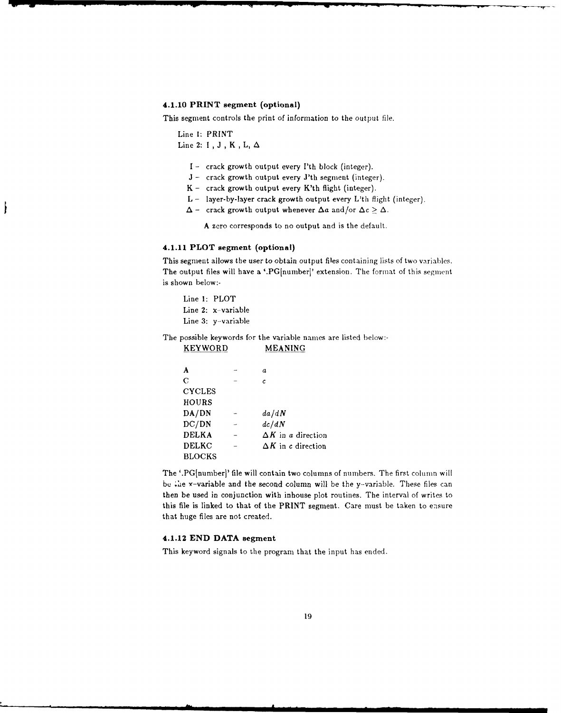## **4.1.10 PRINT segment (optional)**

This segment controls the print of information to the output file.

Line I: PRINT Line 2: **1 , J ,** K **,L, A**

ł

- I crack growth output every I'th block (integer).
- J crack growth output every J'th segment (integer).
- $K -$  crack growth output every  $K'th$  flight (integer).
- $L -$  layer-by-layer crack growth output every  $L'th$  flight (integer).
- $\Delta$  crack growth output whenever  $\Delta a$  and/or  $\Delta c \geq \Delta$ .

A zero corresponds to no output and is the default.

## **4.1.11 PLOT segment (optional)**

This segment allows the user to obtain output files containing lists of two variables. The output files will have a '.PG[number]' extension. The format of this segment is shown below:-

Line **1:** PLOT Line 2: x-variable Line **3:** y-variable

The possible keywords for the variable names are listed below:-

| NG I WUND     | MEANING                   |  |  |
|---------------|---------------------------|--|--|
|               |                           |  |  |
| A             | a                         |  |  |
| $\mathbf C$   | C                         |  |  |
| <b>CYCLES</b> |                           |  |  |
| HOURS         |                           |  |  |
| DA/DN         | da/dN                     |  |  |
| DC/DN         | dc/dN                     |  |  |
| <b>DELKA</b>  | $\Delta K$ in a direction |  |  |
| <b>DELKC</b>  | $\Delta K$ in c direction |  |  |
| <b>BLOCKS</b> |                           |  |  |

KEYWORD MEANING

The '.PG[number]' file will contain two columns of numbers. The first column will be the x-variable and the second column will be the y-variable. These files can then be used in conjunction with inhouse plot routines. The interval of writes to this file is linked to that of the PRINT segment. Care must be taken to ensure that huge files are not created.

## **4.1.12 END DATA segment**

This keyword signals to the program that the input has ended.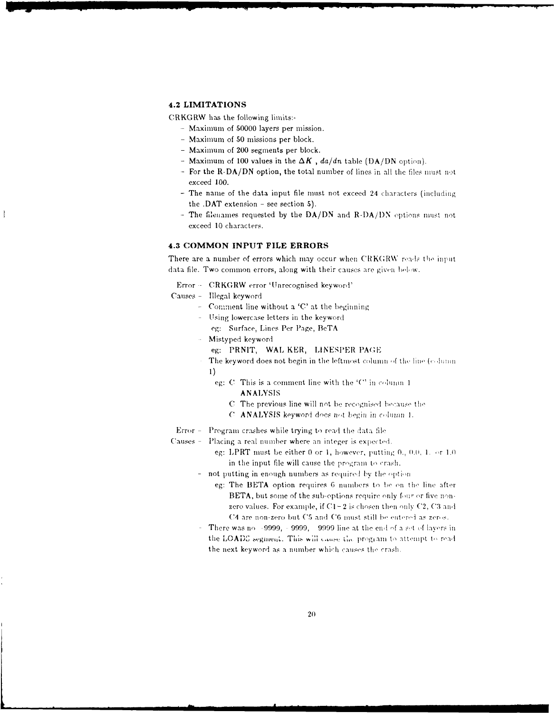## **4.2 LIMITATIONS**

CRKGRW has the following limits:-

- Maximum of 50000 layers per mission.
- Maximum of 50 missions per block.
- $-$  Maximum of 200 segments per block.
- Maximum of 100 values in the  $\Delta K$ ,  $da/dn$  table (DA/DN option).
- For the R-DA/DN option, the total number of lines in all the files must not exceed 100.
- The name of the data input file must not exceed 24 characters (including the .DAT extension - see section 5).
- The filenames requested by the DA/DN and R-DA/DN options must not exceed 10 characters.

## 4.3 COMMON INPUT FILE ERRORS

There are a number of errors which may occur when CRKGRW reads the input data file. Two common errors, along with their causes are given below.

Error - CRKGRW error 'Unrecognised keyword'

- Causes Illegal keyword
	- Comment line without a 'C' at the beginning
	- Using lowercase letters in the keyword
	- eg: Surface, Lines Per Page, BeTA
	- Mistyped keyword
		- eg: PRNIT, WAL KER, LINESPER PAGE
	- The keyword does not begin in the leftmost column of the line (column  $1)$ 
		- eg: C This is a comment line with the 'C' in column 1 **ANALYSIS** 
			- C. The previous line will not be recognised because the
			- C ANALYSIS keyword does not begin in column 1.

Error - Program crashes while trying to read the data file

- Causes Placing a real number where an integer is expected.
	- eg: LPRT must be either 0 or 1, however, putting 0., 0.0, 1. or 1.0 in the input file will cause the program to crash.
	- not putting in enough numbers as required by the option
		- eg: The BETA option requires 6 numbers to be on the line after BETA, but some of the sub-options require only four or five nonzero values. For example, if  $C1-2$  is chosen then only C2, C3 and C4 are non-zero but C5 and C6 must still be entered as zeros.
	- There was no -9999, -9999, -9999 line at the end of a set of lavers in the LOADS segment. This will cause the program to attempt to read the next keyword as a number which causes the crash.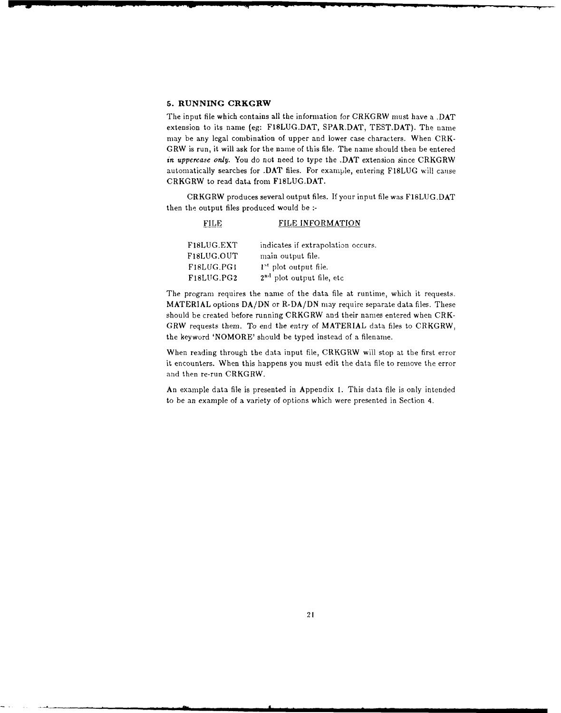## **5. RUNNING CRKGRW**

**The** input file which contains all the information for CRKGRW must have a **.DAT** extension to its name (eg: **FISLUG.DAT,** SPARDAT, **TEST.DAT).** The name may be any legal combination of upper and lower case characters. When CRK-GRW is run, it will ask for the name of this file. The name should then be entered *in uppercase only.* You do not need to type the .DAT extension since CRKGRW automatically searches for .DAT files. For example, entering **F18LUG** will cause CRKGRW to read data from F18LUG.DAT.

CRKGRW produces several output files. If your input file was F18LUG.DAT then the output files produced would be **:-**

| FILE                    | FILE INFORMATION                      |
|-------------------------|---------------------------------------|
| F <sub>18</sub> LUG.EXT | indicates if extrapolation occurs.    |
| F18LUG.OUT              | main output file.                     |
| F18LUG.PG1              | $1st$ plot output file.               |
| F18LUG.PG2              | 2 <sup>nd</sup> plot output file, etc |

The program requires the name of the data file at runtime, which it requests. MATERIAL options DA/DN or R-DA/DN may require separate data files. These should be created before running CRKGRW and their names entered when CRK-GRW requests them. To end the entry of MATERIAL data files to CRKGRW, the keyword 'NOMORE' should be typed instead of a filename.

When reading through the data input file, CRKGRW will stop at the first error it encounters. When this happens you must edit the data file to remove the error and then re-run CRKGRW.

**An** example data file is presented in Appendix I. This data file is only intended to be an example of a variety of options which were presented in Section 4.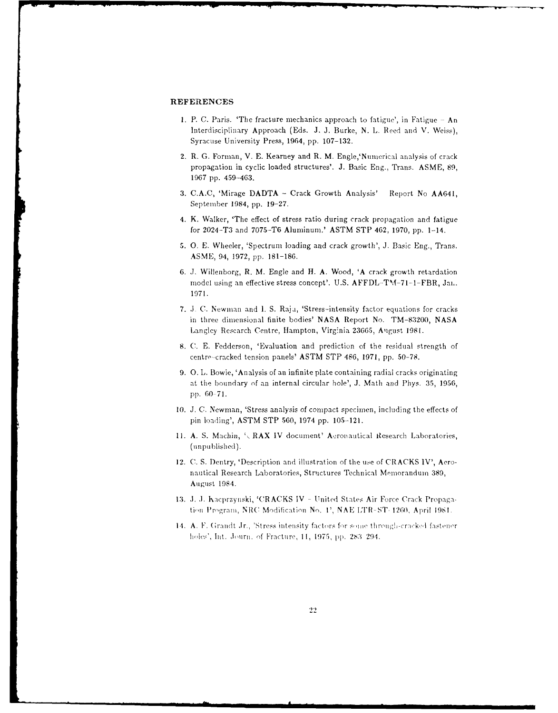#### **REFERENCES**

- **I.** P. C. Paris. 'The fracture mechanics approach to fatigue', in Fatigue An Interdisciplinary Approach (Eds. J. **J.** Burke, N. L. Reed and V. Weiss), Syracuse University Press, 1964, pp. 107-132.
- 2. R. G. Forman, V. E. Kearney and R. M. Engle, 'Numerical analysis of crack propagation in cyclic loaded structures'. **J.** Basic Eng., Trans. ASME, 89, 1967 pp. 459-463.
- 3. C.A.C, 'Mirage DADTA Crack Growth Analysis' Report No AA641, September 1984, pp. 19-27.
- 4. K. Walker, 'The effect of stress ratio during crack propagation and fatigue for 2024-T3 and 7075-TO Aluminum.' ASTM STP 462, 1970, pp. 1-14.
- 5. **0. E.** Wheeler, 'Spectrum loading and crack growth', J. Basic Eng., Trans. ASME, 94, 1972, pp. **181-186.**
- 6. J. Willenborg, R. M. Engle and H. A. Wood, 'A crack growth retardation model using an effective stress concept'. U.S. AFFDL-TM-71-1-FBR, Jai.. 1971.
- 7. J. C. Newman and I. S. Raju, 'Stress-intensity factor equations for cracks in three dimensional finite bodies' NASA Report No. TM-83200, NASA Langley Research Centre, Hampton, Virginia 23665, August 1981.
- 8. C. **E.** Fedderson, 'Evaluation and prediction of the residual strength of centre-cracked tension panels' ASTM STP 486, 1971, pp. 50-78.
- 9. **0.** L. Bowie, 'Analysis of an infinite plate containing radial cracks originating at the boundary of an internal circular hole', J. Math and Phys. 35, 1956, pp. 60 71.
- 10. J. *C.* Newman, 'Stress analysis of compact specimen, including the effects of pin loading', ASTM STP 560, 1974 pp. 105-121.
- 11. A. S. Machin,  $\cdot$  RAX IV document' Aeronautical Research Laboratories, (unpublished).
- 12. C. S. Dentry, 'Description and illustration of the use of CRACKS IV', Aeronautical Research Laboratories, Structures Technical Memoranduin 389, August 1984.
- 13. **i. .1.** lacprzynski, '('RACKS IV **-** United States Air Force Crack Propagation Program, NRC Modification No. 1', NAE LTR-ST-1260, April 1981.
- 14. A. F. Grandt Jr., 'Stress intensity factors for some through-cracked fastener hils', Int..lmrn. **of** Fracture, **11,** 1975, pp. **2>** 3 294.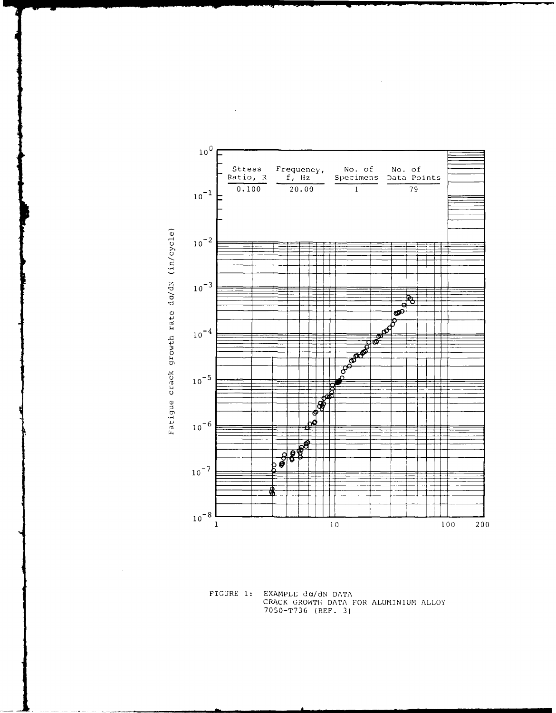



 $\sim$ 

FIGURE 1: EXAMPLE do/dN DATA<br>CRACK GROWTH DATA FOR ALUMINIUM ALLOY 7050-T736 (REF. 3)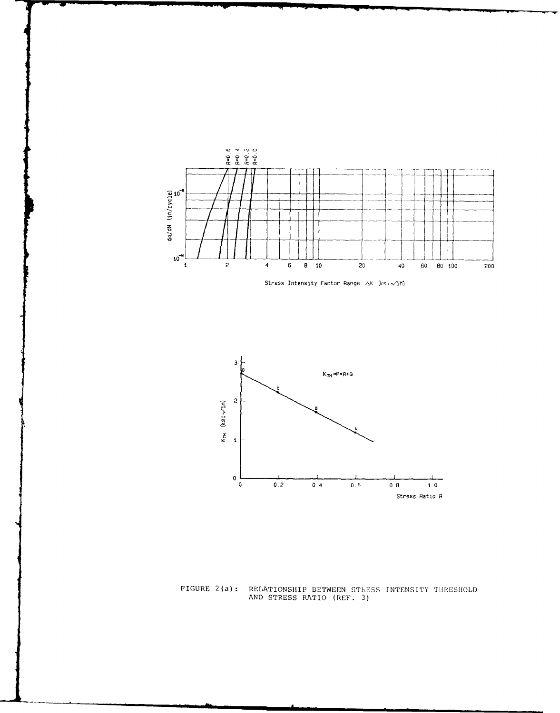





FIGURE 2(a): RELATIONSHIP BETWEEN ST1,ESS INTENSITY THRESHOLD AND STRESS RATIO (REF. 3)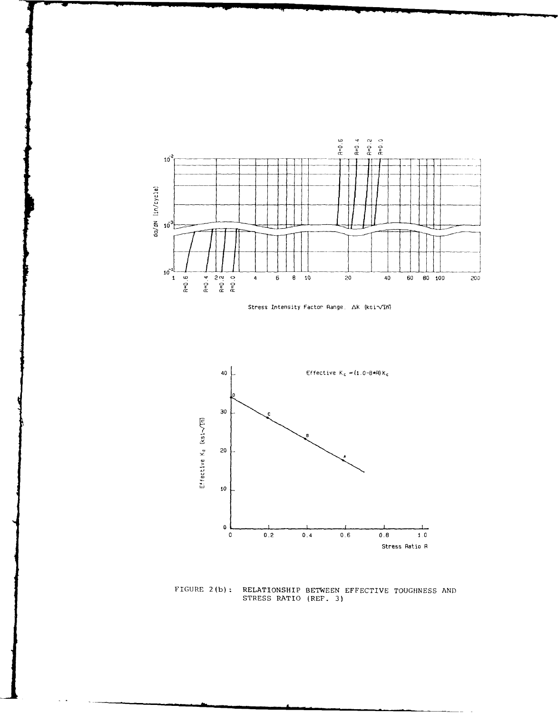





FIGURE 2(b): RELATIONSHIP BETWEEN EFFECTIVE TOUGHNESS AND **STRESS** RATIO (REF. **3)**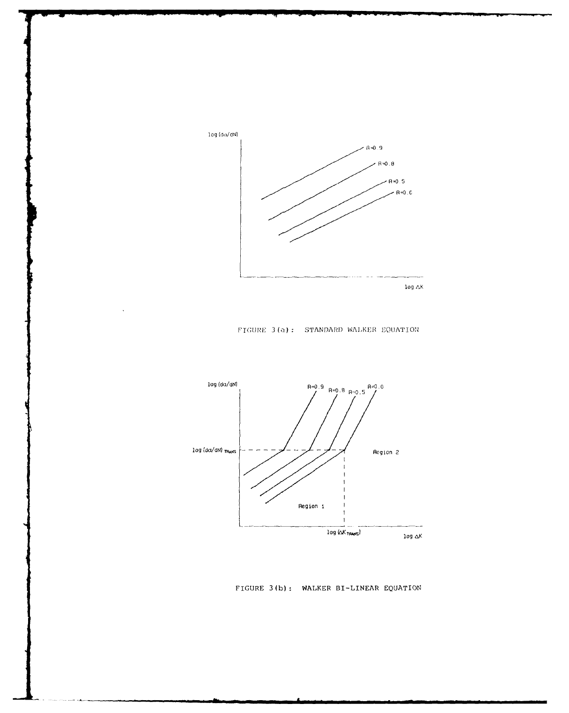

FIGURE 3(a): STANDARD WALKER EQUATION



FIGURE 3(b): WALKER BI-LINEAR EQUATION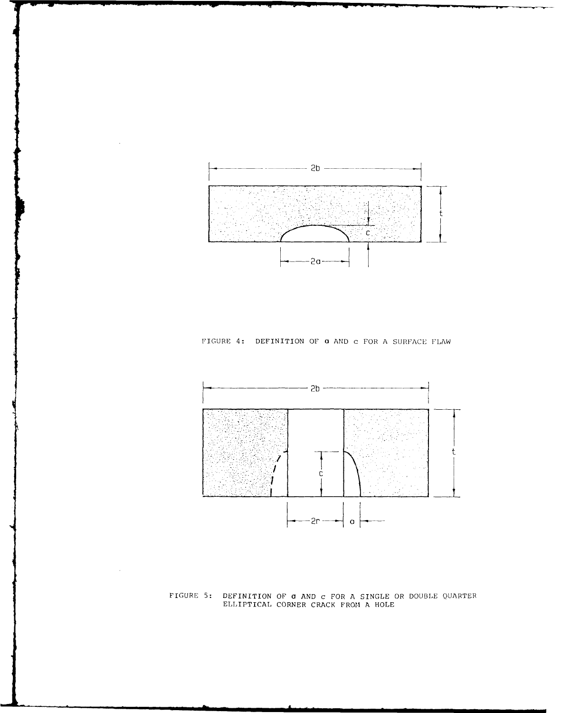

 $\cdot$ 

 $\sim$ 

FIGURE 4: DEFINITION OF **a** AND **c** FOR A SURFACE FLAW



FIGURE **5:** DEFINITION OF a **AND** c FOR *A* SINGLE OR **DOUBLE QUARTER** ELLIPTICAL CORNER CRACK FROMI **A** HOLE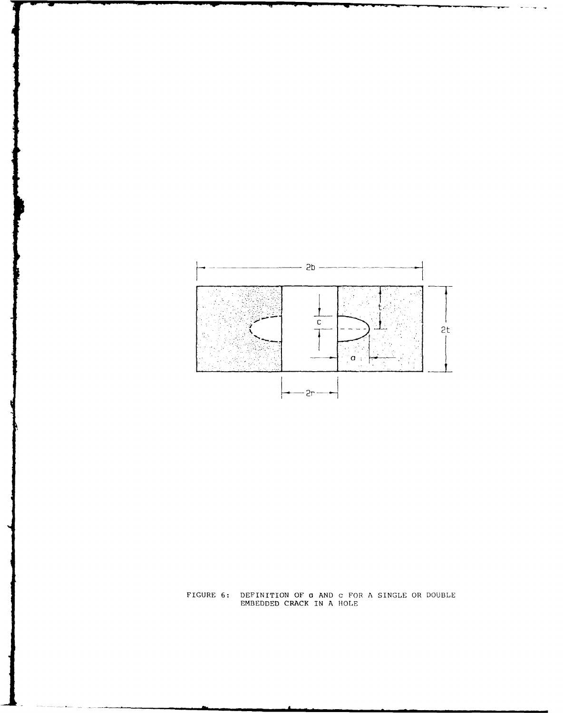

FIGURE 6: DEFINITION OF a AND C FOR A SINGLE OR DOUBLE<br>EMBEDDED CRACK IN A HOLE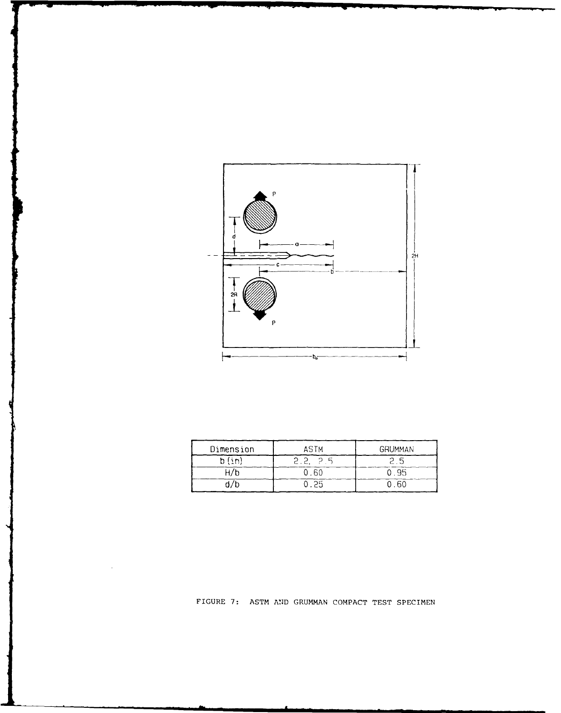

| Dimension<br>ASTM |  | <b>GRUMMAN</b> |
|-------------------|--|----------------|
| b (in'            |  |                |
|                   |  | .95            |
|                   |  |                |

FIGURE 7: ASTM **AND** GRUMMAN COMPACT TEST SPECIMEN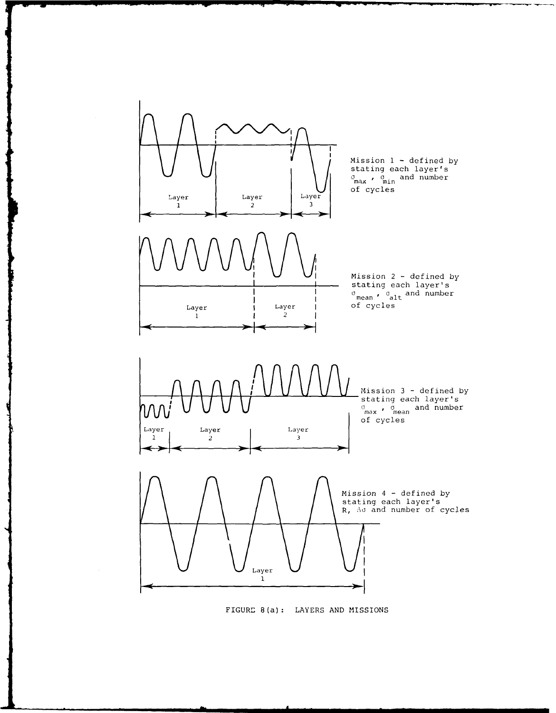

FIGURE 8(a): LAYERS **AND** MISSIONS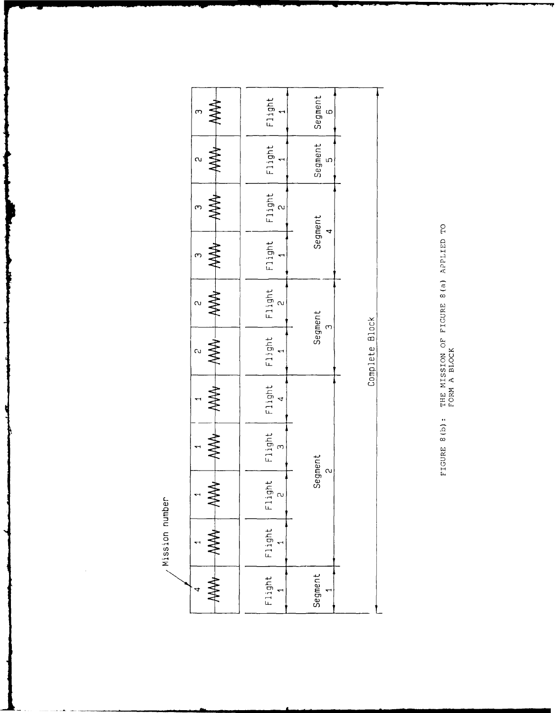|  | ო                          | Flight                                                     | Segment<br>ω              |                |
|--|----------------------------|------------------------------------------------------------|---------------------------|----------------|
|  |                            | Flight                                                     | Segment<br>$\mathfrak{c}$ |                |
|  |                            | Flight<br>$\sim$                                           |                           |                |
|  | ≹                          | Flight                                                     | Segment<br>4              |                |
|  | ≹<br>൮                     | $\begin{bmatrix} 1 & 1 & 1 & 1 \\ 2 & 2 & 1 \end{bmatrix}$ | Segment                   |                |
|  | <b>ANA</b><br>$\mathbf{c}$ | Flight                                                     | $\infty$                  | Complete Block |
|  |                            | Flight                                                     |                           |                |
|  |                            | Flight<br>$\infty$                                         | Segment                   |                |
|  | <b>WW</b>                  | Flight<br>$\sim$                                           | $\sim$                    |                |
|  | <b>AAAL</b>                | Flight                                                     |                           |                |
|  |                            | Flight                                                     | Segment                   |                |

FIGURE 8(b): THE MISSION OF FIGURE 8(a) APPLIED TO

/ Mission number

 $\cdot$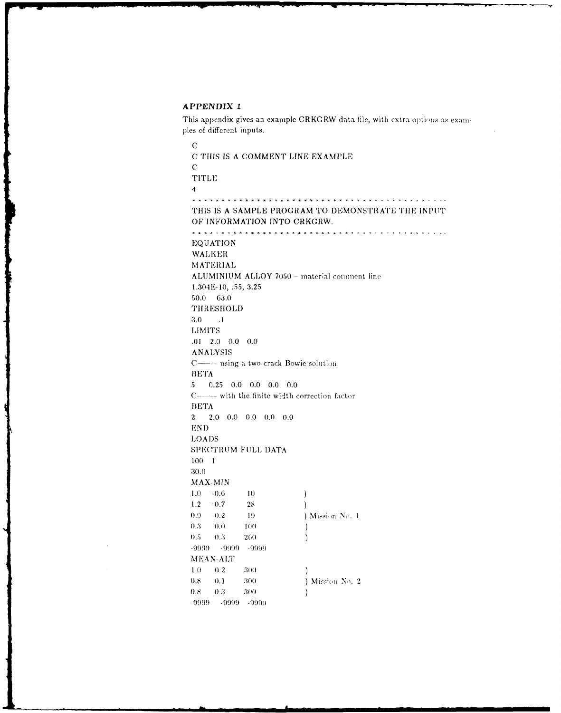## APPENDIX 1

This appendix gives an example CRKGRW data file, with extra options as examples of different inputs.

 $\mathbf C$ C THIS IS A COMMENT LINE EXAMPLE  $\mathbf C$ **TITLE**  $\boldsymbol{A}$ THIS IS A SAMPLE PROGRAM TO DEMONSTRATE THE INPUT OF INFORMATION INTO CRKGRW. \* \* \* *\** \* \* \* \* \* \* \* \* \* \* \* \* \* \* \* EQUATION WALKER MATERIAL ALUMINIUM ALLOY 7050 - material comment line 1.304E-10, .55, 3.25  $50.0\, 63.0$ THRESHOLD  $3.0$  $\sim 1$ **LIMITS**  $.01 \quad 2.0 \quad 0.0 \quad 0.0$ ANALYSIS C---- using a two crack Bowie solution **BETA**  $5$  0.25 0.0 0.0 0.0 0.0 C----- with the finite width correction factor **BETA**  $2.0 \quad 0.0 \quad 0.0 \quad 0.0 \quad 0.0$  $2<sup>1</sup>$ **END LOADS** SPECTRUM FULL DATA  $100 - 1$ 30.0 MAX-MIN  $-0.6$  $10\,$  $1.0$  $\big)$  $1.2\,$  $-0.7$  $28$  $\lambda$  $0.9$  $-0.2$ ) Mission No. 1 19  $0.0$  $0.3$  $100\,$  $\big)$  $0.5 0.3\,$ 260  $\lambda$ -9999 - 9999 - 9999 MEAN-ALT  $1.0$  $0.2$ 300  $\lambda$ 300  $0.8$  $0.1$ ) Mission No. 2  $\boldsymbol{8.0}$  $0.3\,$  $300\,$  $\left\{ \right.$  $-9999 - 9999 - 9999$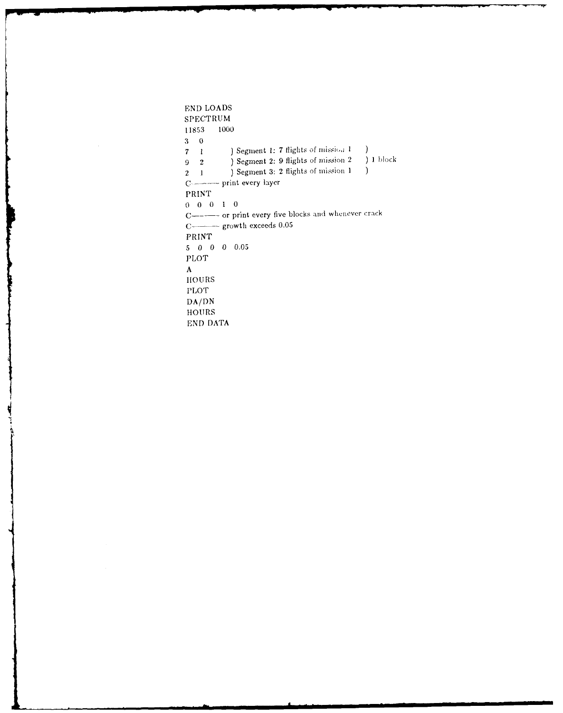**END LOADS SPECTRUM**<br>11853 1000 **11853 3 0 7** 1 ) Segment 1: 7 flights of mission 1<br> **9** 2 ) Segment 2: 9 flights of mission 2  $\mathcal{L}$ **<sup>9</sup>**2 **)** Segment 2: **9** flights **of** mission 2 **) 1 block** 2 **1 )** Segment **3:** 2 flights of mission **I** C --------- print every layer PRINT **0 0 0 1 0 C----** or print every five blocks and **whenever** crack C-call growth exceeds  $0.05$ PRINT **5 0 0 0 0.05** PLOT **A** HOURS PLOT **DA/DN HOURS END DATA**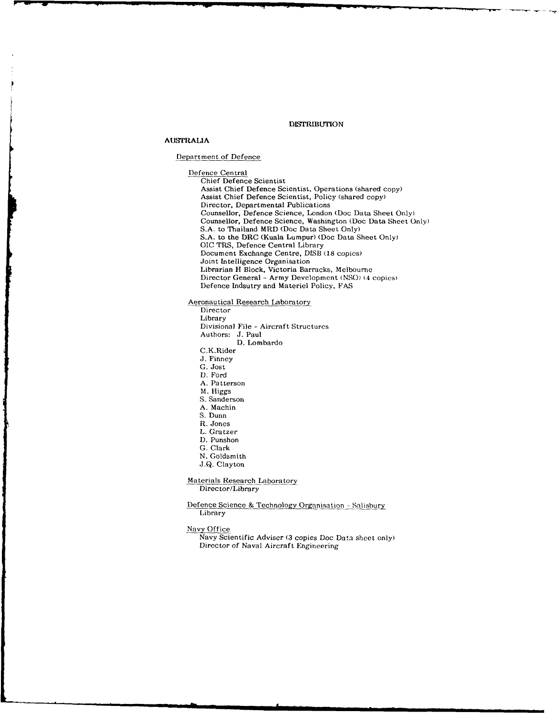#### **DISTRIBUTION**

## **AUSTRALIA**

#### Depatment **of Defence**

Defence Central Chief Defence Scientist Assist Chief Defence Scientist, Operations (shared copy) Assist Chief Defence Scientist, Policy (shared copy) Director, Departmental Publications Counsellor, Defence Science, London (Doc Data Sheet Only) Counsellor, Defence Science, Washington (Doc Data Sheet Only) **S.A.** to Thailand MRD (Doc Data Sheet Only) S.A. to the DRC (Kuala Lumpur) (Doc Data Sheet Only) OIC TRS, Defence Central Library Document Exchange Centre, DISB (18 copies) Joint Intelligence Organisation Librarian H Block, Victoria Barracks, Melbourne Director General - Army Development (NSO) (4 copies) Defence Indsutry and Materiel Policy, FAS

## Aeronautical Research Laboratory

**Director** Library Divisional File **-** Aircraft Structures Authors: J. Paul D. Lombardo C.K.Rider J. Finney G. Jost D. Ford A. Patterson M. Higgs S. Sanderson A. Machin S. Dunn R. Jones L. Gratzer D. Punshon G. Clark N. Goldsmith J.Q. Clayton Materials Research Laboratory Director/Library

Defence Science & Technology Organisation - Salisbury Library

#### Navy Office

Navy Scientific Adviser (3 copies Doc Data sheet only) Director of Naval Aircraft Engineering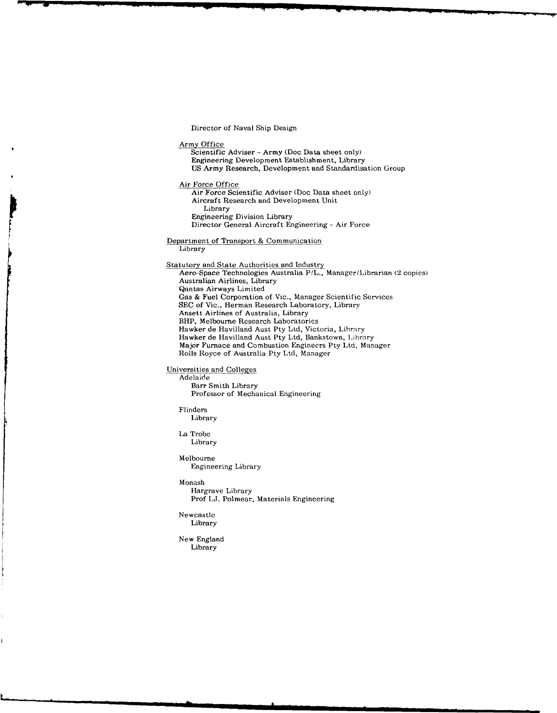Director of Naval Ship Design

Army Office

Scientific Adviser - Army (Doc Data sheet only) Engineering Development Establishment, Library US Army Research, Development and Standardisation Group

Air Force Office

Air Force Scientific Adviser (Doc Data sheet only) Aircraft Research and Development Unit Library Engineering Division Library Director General Aircraft Engineering - Air Force

Department of Transport & Communication Library

Statutory and State Authorities and Industry Aero-Space Technologies Australia P/L., Manager/Librarian (2 copies) Australian Airlines, Library Qantas Airways Limited Gas & Fuel Corporation of Vic., Manager Scientific Services SEC of Vic., Herman Research Laboratory, Library Ansett Airlines of Australia, Library BHP, Melbourne Research Laboratories Hawker de Havilland Aust Pty Ltd, Victoria, Library Hawker de Havilland Aust Pty Ltd, Bankstown, Library Major Furnace and Combustion Enginecrs Pty Ltd, Manager Rolls Royce of Australia Pty Ltd, Manager

Universities and Colleges

Adelaide

Barr Smith Library Professor of Mechanical Engineering

Flinders

Library

La Trobe Library

Melbourne Engineering Library

Monash

Hargrave Library Prof I.J. Polmear, Materials Engineering

Newcastle Library

New England Library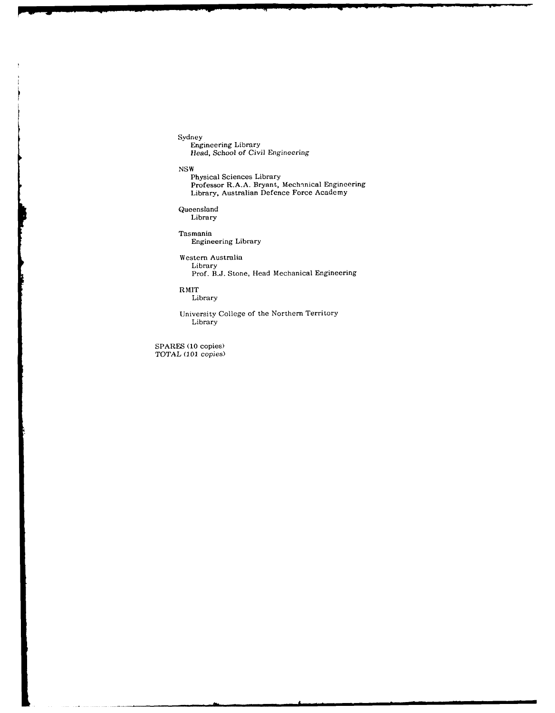Sydney Engineering Library *Head,* School of Civil Engineering

NSW

Physical Sciences Library Professor R.A.A. Bryant, Mechanical Engineering Library, Australian Defence Force Academy

Queensland Library

Tasmania Engineering Library

Western Australia Library Prof. B.J. Stone, Head Mechanical Engineering

RMIT

Library

University College of the Northern Territory Library

SPARES (10 copies) TOTAL (101 *copies)*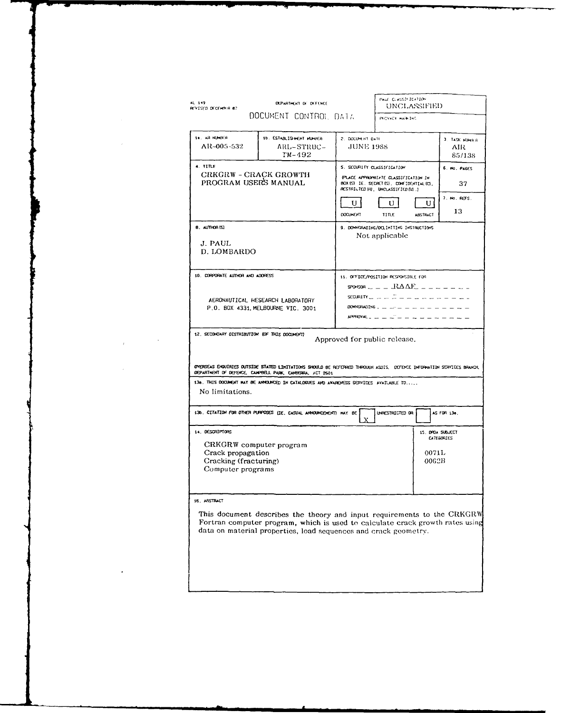| AL 149<br>REVISED DECERBER 87                                                                                 | <b>DEPARTMENT OF DEFENCE</b>                                                                                                                                                                                                |                                                      | PAGE CLASSIFICATION<br>UNCLASSIFIED                                                                                                                                                                                                                                                                                                                                                                                |                                    |                                          |
|---------------------------------------------------------------------------------------------------------------|-----------------------------------------------------------------------------------------------------------------------------------------------------------------------------------------------------------------------------|------------------------------------------------------|--------------------------------------------------------------------------------------------------------------------------------------------------------------------------------------------------------------------------------------------------------------------------------------------------------------------------------------------------------------------------------------------------------------------|------------------------------------|------------------------------------------|
|                                                                                                               | DOCUMENT CONTROL DATA                                                                                                                                                                                                       |                                                      | <b>INTIVACY HUTCHING</b>                                                                                                                                                                                                                                                                                                                                                                                           |                                    |                                          |
| 14. AR NUMBER<br>AR-005-532                                                                                   | 10. ESTABLISHENT MUNICA<br>ARL-STRUC-<br>TM-492                                                                                                                                                                             | 2. DOCUMENT DATE<br>JUNE 1988                        |                                                                                                                                                                                                                                                                                                                                                                                                                    |                                    | 3. TASK NUMBER<br>AIR<br>85/138          |
| 4. TITLE<br>CRKGRW - CRACK GROWTH<br>PROGRAM USERS MANUAL                                                     |                                                                                                                                                                                                                             | 5. SECURLITY CLASSIFICATION<br>υI<br><b>DOCUMENT</b> | (PLACE APPROPRIATE CLASSIFICATION IN<br>BOX (S) IE. SECRET (S), CONFIDENTIAL (C),<br><b>RESTRICTED (R), UNCLASSIFIED (U).)</b><br>U<br>TITLE                                                                                                                                                                                                                                                                       | υı<br><b>ABSTRACT</b>              | 6. MO. PAGES<br>37<br>7. No. REFS.<br>13 |
| 8. AUTHOR (S)<br>J. PAUL<br>D. LOMBARDO                                                                       |                                                                                                                                                                                                                             |                                                      | 9. DOWNGRADING/DELIMITING INSTRUCTIONS<br>Not applicable                                                                                                                                                                                                                                                                                                                                                           |                                    |                                          |
| 10. CORPORATE AUTHOR AND ADDRESS                                                                              | AERONAUTICAL HESEARCH LABORATORY<br>P.O. BOX 4331, MELBOURNE VIC. 3001                                                                                                                                                      |                                                      | 11. OFFICE/POSITION RESPONSIBLE FOR<br>$s$ POMSOR $    R \triangle AF$ $       -$<br>$sconirr$ $\qquad \qquad \qquad \qquad \qquad$ $\qquad \qquad \qquad$ $\qquad \qquad \qquad \qquad \qquad$ $\qquad \qquad \qquad \qquad$ $\qquad \qquad \qquad \qquad \qquad$ $\qquad \qquad \qquad \qquad$ $\qquad \qquad \qquad \qquad$<br>DOWNGRADING $2 - 2 + 2 - 2 = 2 - 2 - 2 = 2 - 2$<br>$APPROVALz = - - - - - - - -$ |                                    |                                          |
| 12. SECONDARY DISTRIBUTION (OF THIS DOCUMENT)                                                                 |                                                                                                                                                                                                                             |                                                      | Approved for public release.                                                                                                                                                                                                                                                                                                                                                                                       |                                    |                                          |
|                                                                                                               | OVERSEAS ENQUIRIES OUTSIDE STATED LIMITATIONS SNOULD BE REFERRED THROUGH ASDIS. DEFENCE INFORMATION SERVICES BRANCH<br>DEPARTMENT OF DEFENCE, CAMPBELL PARK, CAMBERRA, ACT 2601                                             |                                                      |                                                                                                                                                                                                                                                                                                                                                                                                                    |                                    |                                          |
| No limitations.                                                                                               | 13a. THIS DOCUMENT WAY BE ANNOUNCED IN CATALOGUES AND AWARENESS SERVICES AVAILABLE TO                                                                                                                                       |                                                      |                                                                                                                                                                                                                                                                                                                                                                                                                    |                                    |                                          |
|                                                                                                               | 13b. CITATION FOR OTHER PURPOSES LIE, CASUAL ANNOUNCEMENT) MAY BE                                                                                                                                                           | Х                                                    | UNRESTRICTED OR                                                                                                                                                                                                                                                                                                                                                                                                    |                                    | AS FOR 136.                              |
| 14. DESCRIPTORS<br>CRKGRW computer program<br>Crack propagation<br>Cracking (fracturing)<br>Computer programs |                                                                                                                                                                                                                             |                                                      |                                                                                                                                                                                                                                                                                                                                                                                                                    | 15. DROA SUBJECT<br>0071L<br>0062B | <b>CATEGORIES</b>                        |
| 16. ARSTRACT                                                                                                  | This document describes the theory and input requirements to the CRKGRW<br>Fortran computer program, which is used to calculate crack growth rates using<br>data on material properties, load sequences and crack geometry. |                                                      |                                                                                                                                                                                                                                                                                                                                                                                                                    |                                    |                                          |

 $\mathcal{L}(\mathcal{L})$  and  $\mathcal{L}(\mathcal{L})$